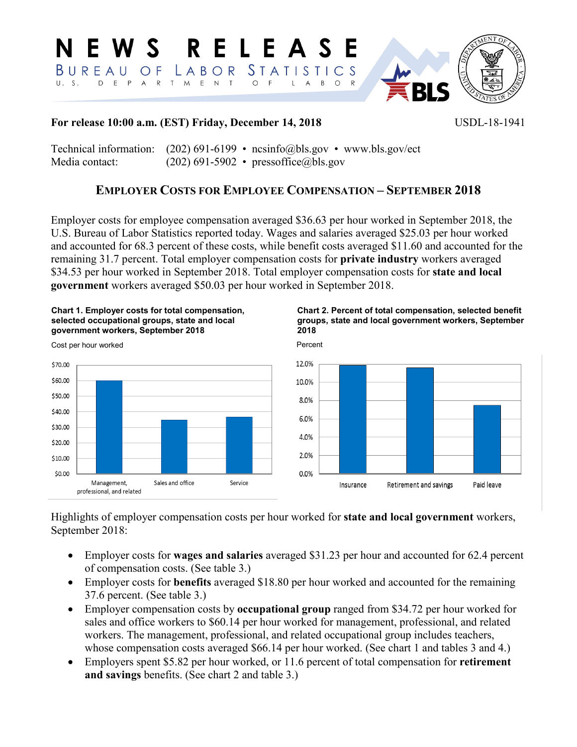RELEASE N E W S  $STATI$ <sub>S</sub> BUREAU O F LABOR <sup>S</sup>  $T \perp C$ D E P  $O$  F  $II-S$ A R T M E N T  $\mathsf L$  $\overline{A}$  $B$  $\circ$ 



## **For release 10:00 a.m. (EST) Friday, December 14, 2018** USDL-18-1941

Technical information:  $(202)$  691-6199 • [ncsinfo@bls.gov](mailto:NCSinfo@bls.gov) • [www.bls.gov/ect](http://www.bls.gov/ect) Media contact: (202) 691-5902 • pressoffice@bls.gov

# **EMPLOYER COSTS FOR EMPLOYEE COMPENSATION – SEPTEMBER 2018**

Employer costs for employee compensation averaged \$36.63 per hour worked in September 2018, the U.S. Bureau of Labor Statistics reported today. Wages and salaries averaged \$25.03 per hour worked and accounted for 68.3 percent of these costs, while benefit costs averaged \$11.60 and accounted for the remaining 31.7 percent. Total employer compensation costs for **private industry** workers averaged \$34.53 per hour worked in September 2018. Total employer compensation costs for **state and local government** workers averaged \$50.03 per hour worked in September 2018.







Cost per hour worked



Highlights of employer compensation costs per hour worked for **state and local government** workers, September 2018:

- Employer costs for **wages and salaries** averaged \$31.23 per hour and accounted for 62.4 percent of compensation costs. (See table 3.)
- Employer costs for **benefits** averaged \$18.80 per hour worked and accounted for the remaining 37.6 percent. (See table 3.)
- Employer compensation costs by **occupational group** ranged from \$34.72 per hour worked for sales and office workers to \$60.14 per hour worked for management, professional, and related workers. The management, professional, and related occupational group includes teachers, whose compensation costs averaged \$66.14 per hour worked. (See chart 1 and tables 3 and 4.)
- Employers spent \$5.82 per hour worked, or 11.6 percent of total compensation for **retirement and savings** benefits. (See chart 2 and table 3.)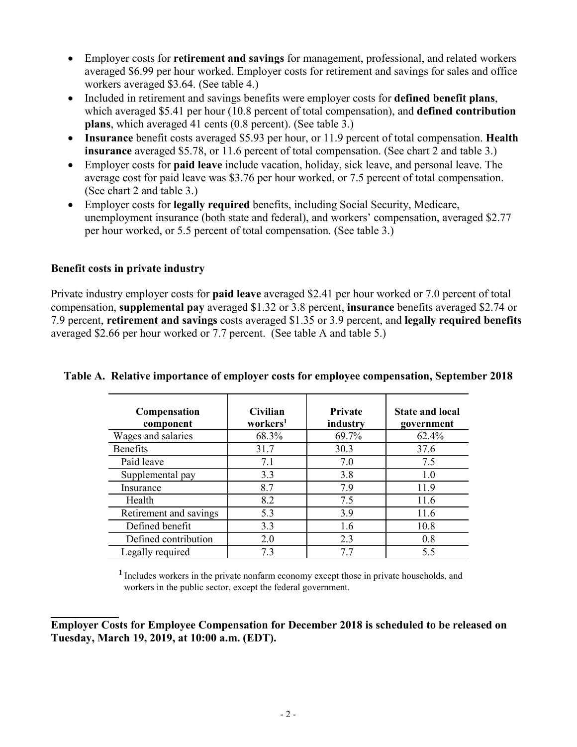- Employer costs for **retirement and savings** for management, professional, and related workers averaged \$6.99 per hour worked. Employer costs for retirement and savings for sales and office workers averaged \$3.64. (See table 4.)
- Included in retirement and savings benefits were employer costs for **defined benefit plans**, which averaged \$5.41 per hour (10.8 percent of total compensation), and **defined contribution plans**, which averaged 41 cents (0.8 percent). (See table 3.)
- **Insurance** benefit costs averaged \$5.93 per hour, or 11.9 percent of total compensation. **Health insurance** averaged \$5.78, or 11.6 percent of total compensation. (See chart 2 and table 3.)
- Employer costs for **paid leave** include vacation, holiday, sick leave, and personal leave. The average cost for paid leave was \$3.76 per hour worked, or 7.5 percent of total compensation. (See chart 2 and table 3.)
- Employer costs for **legally required** benefits, including Social Security, Medicare, unemployment insurance (both state and federal), and workers' compensation, averaged \$2.77 per hour worked, or 5.5 percent of total compensation. (See table 3.)

### **Benefit costs in private industry**

Private industry employer costs for **paid leave** averaged \$2.41 per hour worked or 7.0 percent of total compensation, **supplemental pay** averaged \$1.32 or 3.8 percent, **insurance** benefits averaged \$2.74 or 7.9 percent, **retirement and savings** costs averaged \$1.35 or 3.9 percent, and **legally required benefits** averaged \$2.66 per hour worked or 7.7 percent. (See table A and table 5.)

| <b>Compensation</b><br>component | <b>Civilian</b><br>workers <sup>1</sup> | Private<br>industry | <b>State and local</b><br>government |
|----------------------------------|-----------------------------------------|---------------------|--------------------------------------|
| Wages and salaries               | 68.3%                                   | 69.7%               | 62.4%                                |
| <b>Benefits</b>                  | 31.7                                    | 30.3                | 37.6                                 |
| Paid leave                       | 7.1                                     | 7.0                 | 7.5                                  |
| Supplemental pay                 | 3.3                                     | 3.8                 | 1.0                                  |
| Insurance                        | 8.7                                     | 7.9                 | 11.9                                 |
| Health                           | 8.2                                     | 7.5                 | 11.6                                 |
| Retirement and savings           | 5.3                                     | 3.9                 | 11.6                                 |
| Defined benefit                  | 3.3                                     | 1.6                 | 10.8                                 |
| Defined contribution             | 2.0                                     | 2.3                 | 0.8                                  |
| Legally required                 | 7.3                                     |                     | 5.5                                  |

# **Table A. Relative importance of employer costs for employee compensation, September 2018**

**<sup>1</sup>**Includes workers in the private nonfarm economy except those in private households, and workers in the public sector, except the federal government.

**\_\_\_\_\_\_\_\_\_\_\_\_ Employer Costs for Employee Compensation for December 2018 is scheduled to be released on Tuesday, March 19, 2019, at 10:00 a.m. (EDT).**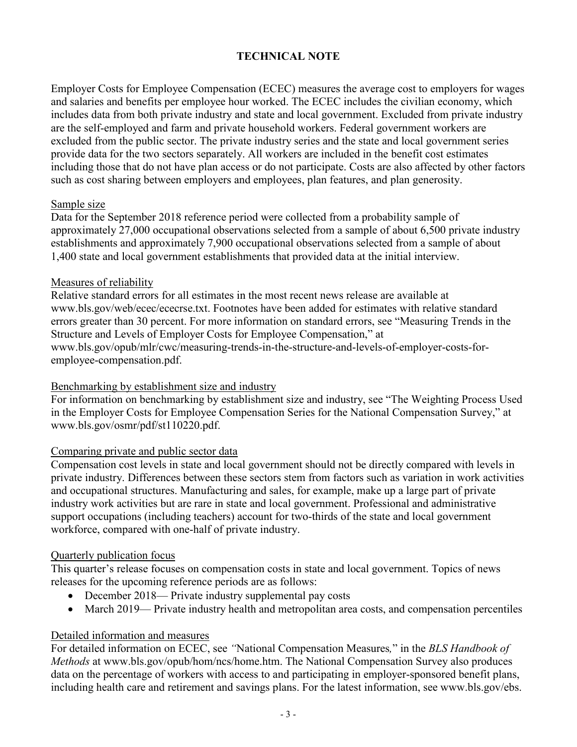## **TECHNICAL NOTE**

Employer Costs for Employee Compensation (ECEC) measures the average cost to employers for wages and salaries and benefits per employee hour worked. The ECEC includes the civilian economy, which includes data from both private industry and state and local government. Excluded from private industry are the self-employed and farm and private household workers. Federal government workers are excluded from the public sector. The private industry series and the state and local government series provide data for the two sectors separately. All workers are included in the benefit cost estimates including those that do not have plan access or do not participate. Costs are also affected by other factors such as cost sharing between employers and employees, plan features, and plan generosity.

### Sample size

Data for the September 2018 reference period were collected from a probability sample of approximately 27,000 occupational observations selected from a sample of about 6,500 private industry establishments and approximately 7,900 occupational observations selected from a sample of about 1,400 state and local government establishments that provided data at the initial interview.

### Measures of reliability

Relative standard errors for all estimates in the most recent news release are available at www.bls.gov/web/ecec/ececrse.txt. Footnotes have been added for estimates with relative standard errors greater than 30 percent. For more information on standard errors, see "Measuring Trends in the Structure and Levels of Employer Costs for Employee Compensation," at www.bls.gov/opub/mlr/cwc/measuring-trends-in-the-structure-and-levels-of-employer-costs-foremployee-compensation.pdf.

### Benchmarking by establishment size and industry

For information on benchmarking by establishment size and industry, see "The Weighting Process Used in the Employer Costs for Employee Compensation Series for the National Compensation Survey," at www.bls.gov/osmr/pdf/st110220.pdf.

### Comparing private and public sector data

Compensation cost levels in state and local government should not be directly compared with levels in private industry. Differences between these sectors stem from factors such as variation in work activities and occupational structures. Manufacturing and sales, for example, make up a large part of private industry work activities but are rare in state and local government. Professional and administrative support occupations (including teachers) account for two-thirds of the state and local government workforce, compared with one-half of private industry.

### Quarterly publication focus

This quarter's release focuses on compensation costs in state and local government. Topics of news releases for the upcoming reference periods are as follows:

- December 2018— Private industry supplemental pay costs
- March 2019— Private industry health and metropolitan area costs, and compensation percentiles

### Detailed information and measures

For detailed information on ECEC, see *"*National Compensation Measures*,*" in the *BLS Handbook of Methods* at www.bls.gov/opub/hom/ncs/home.htm. The National Compensation Survey also produces data on the percentage of workers with access to and participating in employer-sponsored benefit plans, including health care and retirement and savings plans. For the latest information, see www.bls.gov/ebs.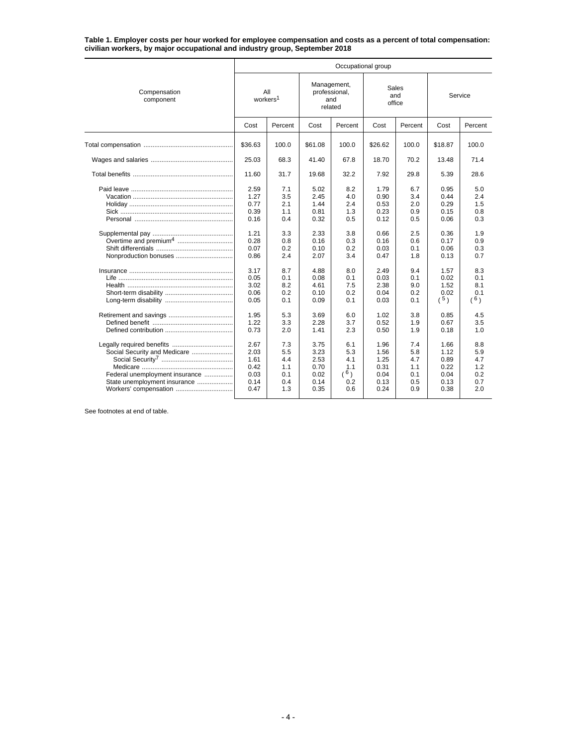**Table 1. Employer costs per hour worked for employee compensation and costs as a percent of total compensation: civilian workers, by major occupational and industry group, September 2018**

|                                                                                                                         | Occupational group                                                                                           |                                                                                                |                                                                                                              |                                                                                                |                                                                                                              |                                                                                                |                                                                                                             |                                                                                                |  |  |  |  |
|-------------------------------------------------------------------------------------------------------------------------|--------------------------------------------------------------------------------------------------------------|------------------------------------------------------------------------------------------------|--------------------------------------------------------------------------------------------------------------|------------------------------------------------------------------------------------------------|--------------------------------------------------------------------------------------------------------------|------------------------------------------------------------------------------------------------|-------------------------------------------------------------------------------------------------------------|------------------------------------------------------------------------------------------------|--|--|--|--|
| Compensation<br>component                                                                                               | workers <sup>1</sup>                                                                                         | All                                                                                            | Management,                                                                                                  | professional,<br>and<br>related                                                                | Sales<br>and<br>office                                                                                       |                                                                                                | Service                                                                                                     |                                                                                                |  |  |  |  |
|                                                                                                                         | Cost                                                                                                         | Percent                                                                                        | Cost                                                                                                         | Percent                                                                                        | Cost                                                                                                         | Percent                                                                                        | Cost                                                                                                        | Percent                                                                                        |  |  |  |  |
|                                                                                                                         | \$36.63                                                                                                      | 100.0                                                                                          | \$61.08                                                                                                      | 100.0                                                                                          | \$26.62                                                                                                      | 100.0                                                                                          | \$18.87                                                                                                     | 100.0                                                                                          |  |  |  |  |
|                                                                                                                         | 25.03                                                                                                        | 68.3                                                                                           | 41.40                                                                                                        | 67.8                                                                                           | 18.70                                                                                                        | 70.2                                                                                           | 13.48                                                                                                       | 71.4                                                                                           |  |  |  |  |
|                                                                                                                         | 11.60                                                                                                        | 31.7                                                                                           | 19.68                                                                                                        | 32.2                                                                                           | 7.92                                                                                                         | 29.8                                                                                           | 5.39                                                                                                        | 28.6                                                                                           |  |  |  |  |
|                                                                                                                         | 2.59<br>1.27<br>0.77<br>0.39<br>0.16<br>1.21<br>0.28<br>0.07<br>0.86<br>3.17<br>0.05<br>3.02<br>0.06<br>0.05 | 7.1<br>3.5<br>2.1<br>1.1<br>0.4<br>3.3<br>0.8<br>0.2<br>2.4<br>8.7<br>0.1<br>8.2<br>0.2<br>0.1 | 5.02<br>2.45<br>1.44<br>0.81<br>0.32<br>2.33<br>0.16<br>0.10<br>2.07<br>4.88<br>0.08<br>4.61<br>0.10<br>0.09 | 8.2<br>4.0<br>2.4<br>1.3<br>0.5<br>3.8<br>0.3<br>0.2<br>3.4<br>8.0<br>0.1<br>7.5<br>0.2<br>0.1 | 1.79<br>0.90<br>0.53<br>0.23<br>0.12<br>0.66<br>0.16<br>0.03<br>0.47<br>2.49<br>0.03<br>2.38<br>0.04<br>0.03 | 6.7<br>3.4<br>2.0<br>0.9<br>0.5<br>2.5<br>0.6<br>0.1<br>1.8<br>9.4<br>0.1<br>9.0<br>0.2<br>0.1 | 0.95<br>0.44<br>0.29<br>0.15<br>0.06<br>0.36<br>0.17<br>0.06<br>0.13<br>1.57<br>0.02<br>1.52<br>0.02<br>(5) | 5.0<br>2.4<br>1.5<br>0.8<br>0.3<br>1.9<br>0.9<br>0.3<br>0.7<br>8.3<br>0.1<br>8.1<br>0.1<br>(6) |  |  |  |  |
|                                                                                                                         | 1.95<br>1.22<br>0.73                                                                                         | 5.3<br>3.3<br>2.0                                                                              | 3.69<br>2.28<br>1.41                                                                                         | 6.0<br>3.7<br>2.3                                                                              | 1.02<br>0.52<br>0.50                                                                                         | 3.8<br>1.9<br>1.9                                                                              | 0.85<br>0.67<br>0.18                                                                                        | 4.5<br>3.5<br>1.0                                                                              |  |  |  |  |
| Social Security and Medicare<br>Federal unemployment insurance<br>State unemployment insurance<br>Workers' compensation | 2.67<br>2.03<br>1.61<br>0.42<br>0.03<br>0.14<br>0.47                                                         | 7.3<br>5.5<br>4.4<br>1.1<br>0.1<br>0.4<br>1.3                                                  | 3.75<br>3.23<br>2.53<br>0.70<br>0.02<br>0.14<br>0.35                                                         | 6.1<br>5.3<br>4.1<br>1.1<br>(6)<br>0.2<br>0.6                                                  | 1.96<br>1.56<br>1.25<br>0.31<br>0.04<br>0.13<br>0.24                                                         | 7.4<br>5.8<br>4.7<br>1.1<br>0.1<br>0.5<br>0.9                                                  | 1.66<br>1.12<br>0.89<br>0.22<br>0.04<br>0.13<br>0.38                                                        | 8.8<br>5.9<br>4.7<br>1.2<br>0.2<br>0.7<br>2.0                                                  |  |  |  |  |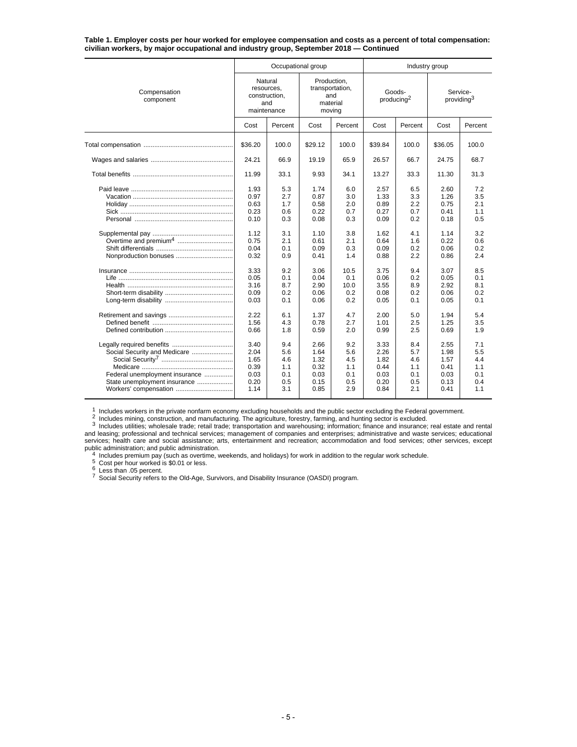**Table 1. Employer costs per hour worked for employee compensation and costs as a percent of total compensation: civilian workers, by major occupational and industry group, September 2018 — Continued**

|                                                                                                                         |                                                                                                              | Occupational group                                                                             |                                                                                                              |                                                                                                  | Industry group                                                                                               |                                                                                                |                                                                                                              |                                                                                                |  |
|-------------------------------------------------------------------------------------------------------------------------|--------------------------------------------------------------------------------------------------------------|------------------------------------------------------------------------------------------------|--------------------------------------------------------------------------------------------------------------|--------------------------------------------------------------------------------------------------|--------------------------------------------------------------------------------------------------------------|------------------------------------------------------------------------------------------------|--------------------------------------------------------------------------------------------------------------|------------------------------------------------------------------------------------------------|--|
| Compensation<br>component                                                                                               | Natural<br>resources.<br>construction,<br>and<br>maintenance                                                 |                                                                                                | Production,                                                                                                  | transportation,<br>and<br>material<br>moving                                                     | Goods-<br>producing <sup>2</sup>                                                                             |                                                                                                | Service-<br>providing <sup>3</sup>                                                                           |                                                                                                |  |
|                                                                                                                         | Cost                                                                                                         | Percent                                                                                        | Cost                                                                                                         | Percent                                                                                          | Cost                                                                                                         | Percent                                                                                        | Cost                                                                                                         | Percent                                                                                        |  |
|                                                                                                                         | \$36.20                                                                                                      | 100.0                                                                                          | \$29.12                                                                                                      | 100.0                                                                                            | \$39.84                                                                                                      | 100.0                                                                                          | \$36.05                                                                                                      | 100.0                                                                                          |  |
|                                                                                                                         | 24.21                                                                                                        | 66.9                                                                                           | 19.19                                                                                                        | 65.9                                                                                             | 26.57                                                                                                        | 66.7                                                                                           | 24.75                                                                                                        | 68.7                                                                                           |  |
|                                                                                                                         | 11.99                                                                                                        | 33.1                                                                                           | 9.93                                                                                                         | 34.1                                                                                             | 13.27                                                                                                        | 33.3                                                                                           | 11.30                                                                                                        | 31.3                                                                                           |  |
| Nonproduction bonuses                                                                                                   | 1.93<br>0.97<br>0.63<br>0.23<br>0.10<br>1.12<br>0.75<br>0.04<br>0.32<br>3.33<br>0.05<br>3.16<br>0.09<br>0.03 | 5.3<br>2.7<br>1.7<br>0.6<br>0.3<br>3.1<br>2.1<br>0.1<br>0.9<br>9.2<br>0.1<br>8.7<br>0.2<br>0.1 | 1.74<br>0.87<br>0.58<br>0.22<br>0.08<br>1.10<br>0.61<br>0.09<br>0.41<br>3.06<br>0.04<br>2.90<br>0.06<br>0.06 | 6.0<br>3.0<br>2.0<br>0.7<br>0.3<br>3.8<br>2.1<br>0.3<br>1.4<br>10.5<br>0.1<br>10.0<br>0.2<br>0.2 | 2.57<br>1.33<br>0.89<br>0.27<br>0.09<br>1.62<br>0.64<br>0.09<br>0.88<br>3.75<br>0.06<br>3.55<br>0.08<br>0.05 | 6.5<br>3.3<br>2.2<br>0.7<br>0.2<br>4.1<br>1.6<br>0.2<br>2.2<br>9.4<br>0.2<br>8.9<br>0.2<br>0.1 | 2.60<br>1.26<br>0.75<br>0.41<br>0.18<br>1.14<br>0.22<br>0.06<br>0.86<br>3.07<br>0.05<br>2.92<br>0.06<br>0.05 | 7.2<br>3.5<br>2.1<br>1.1<br>0.5<br>3.2<br>0.6<br>0.2<br>2.4<br>8.5<br>0.1<br>8.1<br>0.2<br>0.1 |  |
|                                                                                                                         | 2.22<br>1.56<br>0.66                                                                                         | 6.1<br>4.3<br>1.8                                                                              | 1.37<br>0.78<br>0.59                                                                                         | 4.7<br>2.7<br>2.0                                                                                | 2.00<br>1.01<br>0.99                                                                                         | 5.0<br>2.5<br>2.5                                                                              | 1.94<br>1.25<br>0.69                                                                                         | 5.4<br>3.5<br>1.9                                                                              |  |
| Social Security and Medicare<br>Federal unemployment insurance<br>State unemployment insurance<br>Workers' compensation | 3.40<br>2.04<br>1.65<br>0.39<br>0.03<br>0.20<br>1.14                                                         | 9.4<br>5.6<br>4.6<br>1.1<br>0.1<br>0.5<br>3.1                                                  | 2.66<br>1.64<br>1.32<br>0.32<br>0.03<br>0.15<br>0.85                                                         | 9.2<br>5.6<br>4.5<br>1.1<br>0.1<br>0.5<br>2.9                                                    | 3.33<br>2.26<br>1.82<br>0.44<br>0.03<br>0.20<br>0.84                                                         | 8.4<br>5.7<br>4.6<br>1.1<br>0.1<br>0.5<br>2.1                                                  | 2.55<br>1.98<br>1.57<br>0.41<br>0.03<br>0.13<br>0.41                                                         | 7.1<br>5.5<br>4.4<br>1.1<br>0.1<br>0.4<br>1.1                                                  |  |

<sup>1</sup> Includes workers in the private nonfarm economy excluding households and the public sector excluding the Federal government.<br>
<sup>2</sup> Includes mining, construction, and manufacturing. The agriculture, forestry, farming, a

and leasing; professional and technical services; near and teady and technical sector is excluded.<br>and leasing; professional and technical services; management of companies and enterprises; administrative and waste service services; health care and social assistance; arts, entertainment and recreation; accommodation and food services; other services, except public administration; and public administration.<br>
4 Includes premium pay (such as overtime, weekends, and holidays) for work in addition to the regular work schedule.<br>
5 Cost per hour worked is \$0.01 or less.<br>
6 Less than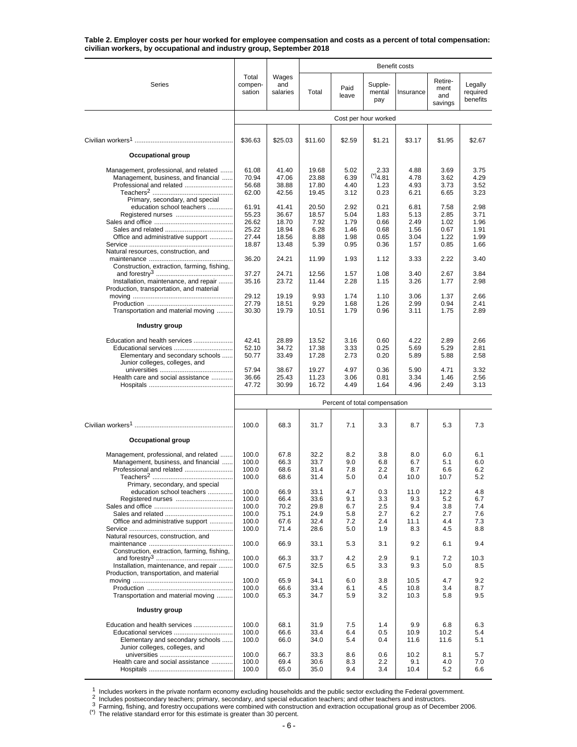| Table 2. Employer costs per hour worked for employee compensation and costs as a percent of total compensation: |  |
|-----------------------------------------------------------------------------------------------------------------|--|
| civilian workers, by occupational and industry group, September 2018                                            |  |

|                                                                                                                                                                          |                                                    |                                              |                                              |                                        |                                            | Benefit costs                            |                                         |                                        |
|--------------------------------------------------------------------------------------------------------------------------------------------------------------------------|----------------------------------------------------|----------------------------------------------|----------------------------------------------|----------------------------------------|--------------------------------------------|------------------------------------------|-----------------------------------------|----------------------------------------|
| Series                                                                                                                                                                   | Total<br>compen-<br>sation                         | Wages<br>and<br>salaries                     | Total                                        | Paid<br>leave                          | Supple-<br>mental<br>pay                   | Insurance                                | Retire-<br>ment<br>and<br>savings       | Legally<br>required<br>benefits        |
|                                                                                                                                                                          |                                                    |                                              |                                              |                                        | Cost per hour worked                       |                                          |                                         |                                        |
|                                                                                                                                                                          | \$36.63                                            | \$25.03                                      | \$11.60                                      | \$2.59                                 | \$1.21                                     | \$3.17                                   | \$1.95                                  | \$2.67                                 |
| Occupational group                                                                                                                                                       |                                                    |                                              |                                              |                                        |                                            |                                          |                                         |                                        |
| Management, professional, and related<br>Management, business, and financial<br>Professional and related<br>Primary, secondary, and special<br>education school teachers | 61.08<br>70.94<br>56.68<br>62.00<br>61.91          | 41.40<br>47.06<br>38.88<br>42.56<br>41.41    | 19.68<br>23.88<br>17.80<br>19.45<br>20.50    | 5.02<br>6.39<br>4.40<br>3.12<br>2.92   | 2.33<br>$(*)$ 4.81<br>1.23<br>0.23<br>0.21 | 4.88<br>4.78<br>4.93<br>6.21<br>6.81     | 3.69<br>3.62<br>3.73<br>6.65<br>7.58    | 3.75<br>4.29<br>3.52<br>3.23<br>2.98   |
| Office and administrative support                                                                                                                                        | 55.23<br>26.62<br>25.22<br>27.44                   | 36.67<br>18.70<br>18.94<br>18.56             | 18.57<br>7.92<br>6.28<br>8.88                | 5.04<br>1.79<br>1.46<br>1.98           | 1.83<br>0.66<br>0.68<br>0.65               | 5.13<br>2.49<br>1.56<br>3.04             | 2.85<br>1.02<br>0.67<br>1.22            | 3.71<br>1.96<br>1.91<br>1.99           |
| Natural resources, construction, and<br>Construction, extraction, farming, fishing,                                                                                      | 18.87<br>36.20                                     | 13.48<br>24.21                               | 5.39<br>11.99                                | 0.95<br>1.93                           | 0.36<br>1.12                               | 1.57<br>3.33                             | 0.85<br>2.22                            | 1.66<br>3.40                           |
| Installation, maintenance, and repair<br>Production, transportation, and material                                                                                        | 37.27<br>35.16                                     | 24.71<br>23.72                               | 12.56<br>11.44                               | 1.57<br>2.28                           | 1.08<br>1.15                               | 3.40<br>3.26                             | 2.67<br>1.77                            | 3.84<br>2.98                           |
| Transportation and material moving                                                                                                                                       | 29.12<br>27.79<br>30.30                            | 19.19<br>18.51<br>19.79                      | 9.93<br>9.29<br>10.51                        | 1.74<br>1.68<br>1.79                   | 1.10<br>1.26<br>0.96                       | 3.06<br>2.99<br>3.11                     | 1.37<br>0.94<br>1.75                    | 2.66<br>2.41<br>2.89                   |
| Industry group                                                                                                                                                           |                                                    |                                              |                                              |                                        |                                            |                                          |                                         |                                        |
| Education and health services<br>Educational services<br>Elementary and secondary schools<br>Junior colleges, colleges, and                                              | 42.41<br>52.10<br>50.77                            | 28.89<br>34.72<br>33.49                      | 13.52<br>17.38<br>17.28                      | 3.16<br>3.33<br>2.73                   | 0.60<br>0.25<br>0.20                       | 4.22<br>5.69<br>5.89                     | 2.89<br>5.29<br>5.88                    | 2.66<br>2.81<br>2.58                   |
| Health care and social assistance                                                                                                                                        | 57.94<br>36.66<br>47.72                            | 38.67<br>25.43<br>30.99                      | 19.27<br>11.23<br>16.72                      | 4.97<br>3.06<br>4.49                   | 0.36<br>0.81<br>1.64                       | 5.90<br>3.34<br>4.96                     | 4.71<br>1.46<br>2.49                    | 3.32<br>2.56<br>3.13                   |
|                                                                                                                                                                          |                                                    |                                              |                                              | Percent of total compensation          |                                            |                                          |                                         |                                        |
|                                                                                                                                                                          | 100.0                                              | 68.3                                         | 31.7                                         | 7.1                                    | 3.3                                        | 8.7                                      | 5.3                                     | 7.3                                    |
| Occupational group                                                                                                                                                       |                                                    |                                              |                                              |                                        |                                            |                                          |                                         |                                        |
| Management, professional, and related<br>Management, business, and financial<br>Professional and related                                                                 | 100.0<br>100.0<br>100.0<br>100.0                   | 67.8<br>66.3<br>68.6<br>68.6                 | 32.2<br>33.7<br>31.4<br>31.4                 | 8.2<br>9.0<br>7.8<br>5.0               | 3.8<br>6.8<br>2.2<br>0.4                   | 8.0<br>6.7<br>8.7<br>10.0                | 6.0<br>5.1<br>6.6<br>10.7               | 6.1<br>6.0<br>6.2<br>5.2               |
| Primary, secondary, and special<br>education school teachers<br>Office and administrative support<br>Natural resources, construction, and                                | 100.0<br>100.0<br>100.0<br>100.0<br>100.0<br>100.0 | 66.9<br>66.4<br>70.2<br>75.1<br>67.6<br>71.4 | 33.1<br>33.6<br>29.8<br>24.9<br>32.4<br>28.6 | 4.7<br>9.1<br>6.7<br>5.8<br>7.2<br>5.0 | 0.3<br>3.3<br>2.5<br>2.7<br>2.4<br>1.9     | 11.0<br>9.3<br>9.4<br>6.2<br>11.1<br>8.3 | 12.2<br>5.2<br>3.8<br>2.7<br>4.4<br>4.5 | 4.8<br>6.7<br>7.4<br>7.6<br>7.3<br>8.8 |
| Construction, extraction, farming, fishing,                                                                                                                              | 100.0                                              | 66.9                                         | 33.1                                         | 5.3                                    | 3.1                                        | 9.2                                      | 6.1                                     | 9.4                                    |
| Installation, maintenance, and repair<br>Production, transportation, and material                                                                                        | 100.0<br>100.0                                     | 66.3<br>67.5                                 | 33.7<br>32.5                                 | 4.2<br>6.5                             | 2.9<br>3.3                                 | 9.1<br>9.3                               | 7.2<br>5.0                              | 10.3<br>8.5                            |
| Transportation and material moving                                                                                                                                       | 100.0<br>100.0<br>100.0                            | 65.9<br>66.6<br>65.3                         | 34.1<br>33.4<br>34.7                         | 6.0<br>6.1<br>5.9                      | 3.8<br>4.5<br>3.2                          | 10.5<br>10.8<br>10.3                     | 4.7<br>3.4<br>5.8                       | 9.2<br>8.7<br>9.5                      |
| Industry group                                                                                                                                                           |                                                    |                                              |                                              |                                        |                                            |                                          |                                         |                                        |
| Education and health services<br>Elementary and secondary schools<br>Junior colleges, colleges, and                                                                      | 100.0<br>100.0<br>100.0                            | 68.1<br>66.6<br>66.0                         | 31.9<br>33.4<br>34.0                         | 7.5<br>6.4<br>5.4                      | 1.4<br>0.5<br>0.4                          | 9.9<br>10.9<br>11.6                      | 6.8<br>10.2<br>11.6                     | 6.3<br>5.4<br>5.1                      |
| Health care and social assistance                                                                                                                                        | 100.0<br>100.0<br>100.0                            | 66.7<br>69.4<br>65.0                         | 33.3<br>30.6<br>35.0                         | 8.6<br>8.3<br>9.4                      | 0.6<br>2.2<br>3.4                          | 10.2<br>9.1<br>10.4                      | 8.1<br>4.0<br>5.2                       | 5.7<br>7.0<br>6.6                      |

<sup>1</sup> Includes workers in the private nonfarm economy excluding households and the public sector excluding the Federal government.<br>
<sup>2</sup> Includes postsecondary teachers; primary, secondary, and special education teachers; an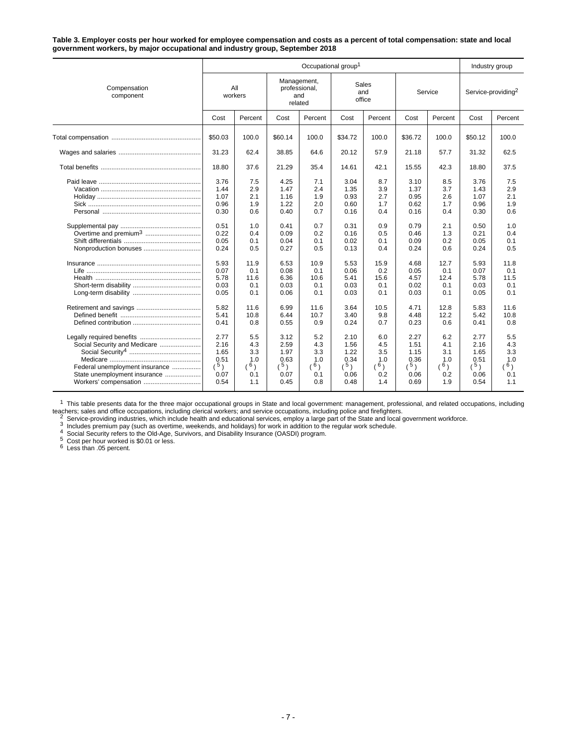**Table 3. Employer costs per hour worked for employee compensation and costs as a percent of total compensation: state and local government workers, by major occupational and industry group, September 2018**

|                                                                                                                         |                                                                                                              |                                                                                                  | Industry group                                                                                               |                                                                                                  |                                                                                                              |                                                                                                  |                                                                                                              |                                                                                                  |                                                                                                              |                                                                                                  |
|-------------------------------------------------------------------------------------------------------------------------|--------------------------------------------------------------------------------------------------------------|--------------------------------------------------------------------------------------------------|--------------------------------------------------------------------------------------------------------------|--------------------------------------------------------------------------------------------------|--------------------------------------------------------------------------------------------------------------|--------------------------------------------------------------------------------------------------|--------------------------------------------------------------------------------------------------------------|--------------------------------------------------------------------------------------------------|--------------------------------------------------------------------------------------------------------------|--------------------------------------------------------------------------------------------------|
| Compensation<br>component                                                                                               | All<br>workers                                                                                               |                                                                                                  | Management,<br>professional,<br>and<br>related                                                               |                                                                                                  | Sales<br>and<br>office                                                                                       |                                                                                                  | Service                                                                                                      |                                                                                                  | Service-providing <sup>2</sup>                                                                               |                                                                                                  |
|                                                                                                                         | Cost                                                                                                         | Percent                                                                                          | Cost                                                                                                         | Percent                                                                                          | Cost                                                                                                         | Percent                                                                                          | Cost                                                                                                         | Percent                                                                                          | Cost                                                                                                         | Percent                                                                                          |
|                                                                                                                         | \$50.03                                                                                                      | 100.0                                                                                            | \$60.14                                                                                                      | 100.0                                                                                            | \$34.72                                                                                                      | 100.0                                                                                            | \$36.72                                                                                                      | 100.0                                                                                            | \$50.12                                                                                                      | 100.0                                                                                            |
|                                                                                                                         | 31.23                                                                                                        | 62.4                                                                                             | 38.85                                                                                                        | 64.6                                                                                             | 20.12                                                                                                        | 57.9                                                                                             | 21.18                                                                                                        | 57.7                                                                                             | 31.32                                                                                                        | 62.5                                                                                             |
|                                                                                                                         | 18.80                                                                                                        | 37.6                                                                                             | 21.29                                                                                                        | 35.4                                                                                             | 14.61                                                                                                        | 42.1                                                                                             | 15.55                                                                                                        | 42.3                                                                                             | 18.80                                                                                                        | 37.5                                                                                             |
| Nonproduction bonuses<br>Life ………………………………………………………                                                                     | 3.76<br>1.44<br>1.07<br>0.96<br>0.30<br>0.51<br>0.22<br>0.05<br>0.24<br>5.93<br>0.07<br>5.78<br>0.03<br>0.05 | 7.5<br>2.9<br>2.1<br>1.9<br>0.6<br>1.0<br>0.4<br>0.1<br>0.5<br>11.9<br>0.1<br>11.6<br>0.1<br>0.1 | 4.25<br>1.47<br>1.16<br>1.22<br>0.40<br>0.41<br>0.09<br>0.04<br>0.27<br>6.53<br>0.08<br>6.36<br>0.03<br>0.06 | 7.1<br>2.4<br>1.9<br>2.0<br>0.7<br>0.7<br>0.2<br>0.1<br>0.5<br>10.9<br>0.1<br>10.6<br>0.1<br>0.1 | 3.04<br>1.35<br>0.93<br>0.60<br>0.16<br>0.31<br>0.16<br>0.02<br>0.13<br>5.53<br>0.06<br>5.41<br>0.03<br>0.03 | 8.7<br>3.9<br>2.7<br>1.7<br>0.4<br>0.9<br>0.5<br>0.1<br>0.4<br>15.9<br>0.2<br>15.6<br>0.1<br>0.1 | 3.10<br>1.37<br>0.95<br>0.62<br>0.16<br>0.79<br>0.46<br>0.09<br>0.24<br>4.68<br>0.05<br>4.57<br>0.02<br>0.03 | 8.5<br>3.7<br>2.6<br>1.7<br>0.4<br>2.1<br>1.3<br>0.2<br>0.6<br>12.7<br>0.1<br>12.4<br>0.1<br>0.1 | 3.76<br>1.43<br>1.07<br>0.96<br>0.30<br>0.50<br>0.21<br>0.05<br>0.24<br>5.93<br>0.07<br>5.78<br>0.03<br>0.05 | 7.5<br>2.9<br>2.1<br>1.9<br>0.6<br>1.0<br>0.4<br>0.1<br>0.5<br>11.8<br>0.1<br>11.5<br>0.1<br>0.1 |
| Social Security and Medicare<br>Federal unemployment insurance<br>State unemployment insurance<br>Workers' compensation | 5.82<br>5.41<br>0.41<br>2.77<br>2.16<br>1.65<br>0.51<br>(5)<br>0.07<br>0.54                                  | 11.6<br>10.8<br>0.8<br>5.5<br>4.3<br>3.3<br>1.0<br>(6)<br>0.1<br>1.1                             | 6.99<br>6.44<br>0.55<br>3.12<br>2.59<br>1.97<br>0.63<br>(5)<br>0.07<br>0.45                                  | 11.6<br>10.7<br>0.9<br>5.2<br>4.3<br>3.3<br>1.0<br>(6)<br>0.1<br>0.8                             | 3.64<br>3.40<br>0.24<br>2.10<br>1.56<br>1.22<br>0.34<br>(5)<br>0.06<br>0.48                                  | 10.5<br>9.8<br>0.7<br>6.0<br>4.5<br>3.5<br>1.0<br>(6)<br>0.2<br>1.4                              | 4.71<br>4.48<br>0.23<br>2.27<br>1.51<br>1.15<br>0.36<br>(5)<br>0.06<br>0.69                                  | 12.8<br>12.2<br>0.6<br>6.2<br>4.1<br>3.1<br>1.0<br>(6)<br>0.2<br>1.9                             | 5.83<br>5.42<br>0.41<br>2.77<br>2.16<br>1.65<br>0.51<br>(5)<br>0.06<br>0.54                                  | 11.6<br>10.8<br>0.8<br>5.5<br>4.3<br>3.3<br>1.0<br>(6)<br>0.1<br>1.1                             |

<sup>1</sup> This table presents data for the three major occupational groups in State and local government: management, professional, and related occupations, including <sup>1</sup> This table presents data for the three major occupational groups in State and local government: management, professional, and related occupations, including clerical workers; and service occupations, including police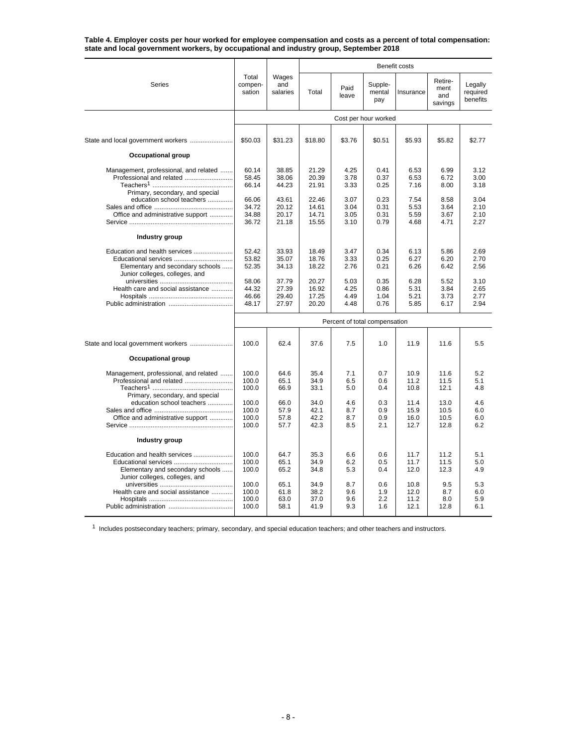**Table 4. Employer costs per hour worked for employee compensation and costs as a percent of total compensation: state and local government workers, by occupational and industry group, September 2018**

|                                                                                                                             | <b>Benefit costs</b>             |                                  |                                  |                               |                              |                              |                                   |                                 |
|-----------------------------------------------------------------------------------------------------------------------------|----------------------------------|----------------------------------|----------------------------------|-------------------------------|------------------------------|------------------------------|-----------------------------------|---------------------------------|
| Series                                                                                                                      | Total<br>compen-<br>sation       | Wages<br>and<br>salaries         | Total                            | Paid<br>leave                 | Supple-<br>mental<br>pay     | Insurance                    | Retire-<br>ment<br>and<br>savings | Legally<br>required<br>benefits |
|                                                                                                                             |                                  |                                  |                                  |                               | Cost per hour worked         |                              |                                   |                                 |
|                                                                                                                             | \$50.03                          | \$31.23                          | \$18.80                          | \$3.76                        | \$0.51                       | \$5.93                       | \$5.82                            | \$2.77                          |
| Occupational group                                                                                                          |                                  |                                  |                                  |                               |                              |                              |                                   |                                 |
| Management, professional, and related<br>Professional and related<br>Primary, secondary, and special                        | 60.14<br>58.45<br>66.14          | 38.85<br>38.06<br>44.23          | 21.29<br>20.39<br>21.91          | 4.25<br>3.78<br>3.33          | 0.41<br>0.37<br>0.25         | 6.53<br>6.53<br>7.16         | 6.99<br>6.72<br>8.00              | 3.12<br>3.00<br>3.18            |
| education school teachers<br>Office and administrative support                                                              | 66.06<br>34.72<br>34.88<br>36.72 | 43.61<br>20.12<br>20.17<br>21.18 | 22.46<br>14.61<br>14.71<br>15.55 | 3.07<br>3.04<br>3.05<br>3.10  | 0.23<br>0.31<br>0.31<br>0.79 | 7.54<br>5.53<br>5.59<br>4.68 | 8.58<br>3.64<br>3.67<br>4.71      | 3.04<br>2.10<br>2.10<br>2.27    |
| Industry group                                                                                                              |                                  |                                  |                                  |                               |                              |                              |                                   |                                 |
| Education and health services<br>Educational services<br>Elementary and secondary schools<br>Junior colleges, colleges, and | 52.42<br>53.82<br>52.35          | 33.93<br>35.07<br>34.13          | 18.49<br>18.76<br>18.22          | 3.47<br>3.33<br>2.76          | 0.34<br>0.25<br>0.21         | 6.13<br>6.27<br>6.26         | 5.86<br>6.20<br>6.42              | 2.69<br>2.70<br>2.56            |
| Health care and social assistance                                                                                           | 58.06<br>44.32<br>46.66<br>48.17 | 37.79<br>27.39<br>29.40<br>27.97 | 20.27<br>16.92<br>17.25<br>20.20 | 5.03<br>4.25<br>4.49<br>4.48  | 0.35<br>0.86<br>1.04<br>0.76 | 6.28<br>5.31<br>5.21<br>5.85 | 5.52<br>3.84<br>3.73<br>6.17      | 3.10<br>2.65<br>2.77<br>2.94    |
|                                                                                                                             |                                  |                                  |                                  | Percent of total compensation |                              |                              |                                   |                                 |
| State and local government workers                                                                                          | 100.0                            | 62.4                             | 37.6                             | 7.5                           | 1.0                          | 11.9                         | 11.6                              | 5.5                             |
| <b>Occupational group</b>                                                                                                   |                                  |                                  |                                  |                               |                              |                              |                                   |                                 |
| Management, professional, and related<br>Professional and related<br>Primary, secondary, and special                        | 100.0<br>100.0<br>100.0          | 64.6<br>65.1<br>66.9             | 35.4<br>34.9<br>33.1             | 7.1<br>6.5<br>5.0             | 0.7<br>0.6<br>0.4            | 10.9<br>11.2<br>10.8         | 11.6<br>11.5<br>12.1              | 5.2<br>5.1<br>4.8               |
| education school teachers<br>Office and administrative support                                                              | 100.0<br>100.0<br>100.0<br>100.0 | 66.0<br>57.9<br>57.8<br>57.7     | 34.0<br>42.1<br>42.2<br>42.3     | 4.6<br>8.7<br>8.7<br>8.5      | 0.3<br>0.9<br>0.9<br>2.1     | 11.4<br>15.9<br>16.0<br>12.7 | 13.0<br>10.5<br>10.5<br>12.8      | 4.6<br>6.0<br>6.0<br>6.2        |
| Industry group                                                                                                              |                                  |                                  |                                  |                               |                              |                              |                                   |                                 |
| Education and health services<br>Elementary and secondary schools<br>Junior colleges, colleges, and                         | 100.0<br>100.0<br>100.0          | 64.7<br>65.1<br>65.2             | 35.3<br>34.9<br>34.8             | 6.6<br>6.2<br>5.3             | 0.6<br>0.5<br>0.4            | 11.7<br>11.7<br>12.0         | 11.2<br>11.5<br>12.3              | 5.1<br>5.0<br>4.9               |
| Health care and social assistance                                                                                           | 100.0<br>100.0<br>100.0<br>100.0 | 65.1<br>61.8<br>63.0<br>58.1     | 34.9<br>38.2<br>37.0<br>41.9     | 8.7<br>9.6<br>9.6<br>9.3      | 0.6<br>1.9<br>2.2<br>1.6     | 10.8<br>12.0<br>11.2<br>12.1 | 9.5<br>8.7<br>8.0<br>12.8         | 5.3<br>6.0<br>5.9<br>6.1        |

 $1$  Includes postsecondary teachers; primary, secondary, and special education teachers; and other teachers and instructors.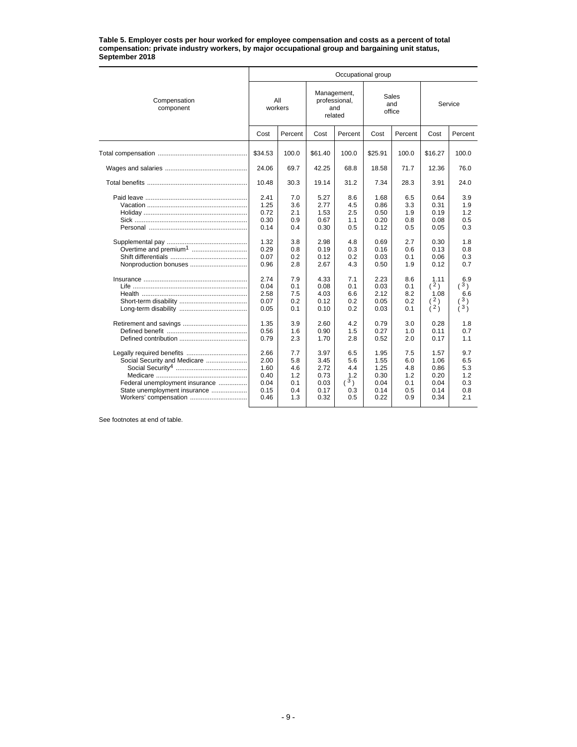#### **Table 5. Employer costs per hour worked for employee compensation and costs as a percent of total compensation: private industry workers, by major occupational group and bargaining unit status, September 2018**

|                                                                                                                         |                                                      |                                               |                                                      | Occupational group                                   |                                                      |                                               |                                                      |                                               |
|-------------------------------------------------------------------------------------------------------------------------|------------------------------------------------------|-----------------------------------------------|------------------------------------------------------|------------------------------------------------------|------------------------------------------------------|-----------------------------------------------|------------------------------------------------------|-----------------------------------------------|
| Compensation<br>component                                                                                               | All<br>workers                                       |                                               | Management,<br>professional,<br>related              | and                                                  |                                                      | Sales<br>and<br>office                        | Service                                              |                                               |
|                                                                                                                         | Cost                                                 | Percent                                       | Cost                                                 | Percent                                              | Cost                                                 | Percent                                       | Cost                                                 | Percent                                       |
|                                                                                                                         | \$34.53                                              | 100.0                                         | \$61.40                                              | 100.0                                                | \$25.91                                              | 100.0                                         | \$16.27                                              | 100.0                                         |
|                                                                                                                         | 24.06                                                | 69.7                                          | 42.25                                                | 68.8                                                 | 18.58                                                | 71.7                                          | 12.36                                                | 76.0                                          |
|                                                                                                                         | 10.48                                                | 30.3                                          | 19.14                                                | 31.2                                                 | 7.34                                                 | 28.3                                          | 3.91                                                 | 24.0                                          |
|                                                                                                                         | 2.41<br>1.25<br>0.72<br>0.30<br>0.14<br>1.32<br>0.29 | 7.0<br>3.6<br>2.1<br>0.9<br>0.4<br>3.8<br>0.8 | 5.27<br>2.77<br>1.53<br>0.67<br>0.30<br>2.98<br>0.19 | 8.6<br>4.5<br>2.5<br>1.1<br>0.5<br>4.8<br>0.3        | 1.68<br>0.86<br>0.50<br>0.20<br>0.12<br>0.69<br>0.16 | 6.5<br>3.3<br>1.9<br>0.8<br>0.5<br>2.7<br>0.6 | 0.64<br>0.31<br>0.19<br>0.08<br>0.05<br>0.30<br>0.13 | 3.9<br>1.9<br>1.2<br>0.5<br>0.3<br>1.8<br>0.8 |
| Nonproduction bonuses                                                                                                   | 0.07<br>0.96                                         | 0.2<br>2.8                                    | 0.12<br>2.67                                         | 0.2<br>4.3                                           | 0.03<br>0.50                                         | 0.1<br>1.9                                    | 0.06<br>0.12                                         | 0.3<br>0.7                                    |
|                                                                                                                         | 2.74<br>0.04<br>2.58<br>0.07<br>0.05                 | 7.9<br>0.1<br>7.5<br>0.2<br>0.1               | 4.33<br>0.08<br>4.03<br>0.12<br>0.10                 | 7.1<br>0.1<br>6.6<br>0.2<br>0.2                      | 2.23<br>0.03<br>2.12<br>0.05<br>0.03                 | 8.6<br>0.1<br>8.2<br>0.2<br>0.1               | 1.11<br>(2)<br>1.08<br>(2)<br>(2)                    | 6.9<br>3)<br>6.6<br>3)<br>(3)                 |
|                                                                                                                         | 1.35<br>0.56<br>0.79                                 | 3.9<br>1.6<br>2.3                             | 2.60<br>0.90<br>1.70                                 | 4.2<br>1.5<br>2.8                                    | 0.79<br>0.27<br>0.52                                 | 3.0<br>1.0<br>2.0                             | 0.28<br>0.11<br>0.17                                 | 1.8<br>0.7<br>1.1                             |
| Social Security and Medicare<br>Federal unemployment insurance<br>State unemployment insurance<br>Workers' compensation | 2.66<br>2.00<br>1.60<br>0.40<br>0.04<br>0.15<br>0.46 | 7.7<br>5.8<br>4.6<br>1.2<br>0.1<br>0.4<br>1.3 | 3.97<br>3.45<br>2.72<br>0.73<br>0.03<br>0.17<br>0.32 | 6.5<br>5.6<br>4.4<br>1.2<br>$({}^{3})$<br>0.3<br>0.5 | 1.95<br>1.55<br>1.25<br>0.30<br>0.04<br>0.14<br>0.22 | 7.5<br>6.0<br>4.8<br>1.2<br>0.1<br>0.5<br>0.9 | 1.57<br>1.06<br>0.86<br>0.20<br>0.04<br>0.14<br>0.34 | 9.7<br>6.5<br>5.3<br>1.2<br>0.3<br>0.8<br>2.1 |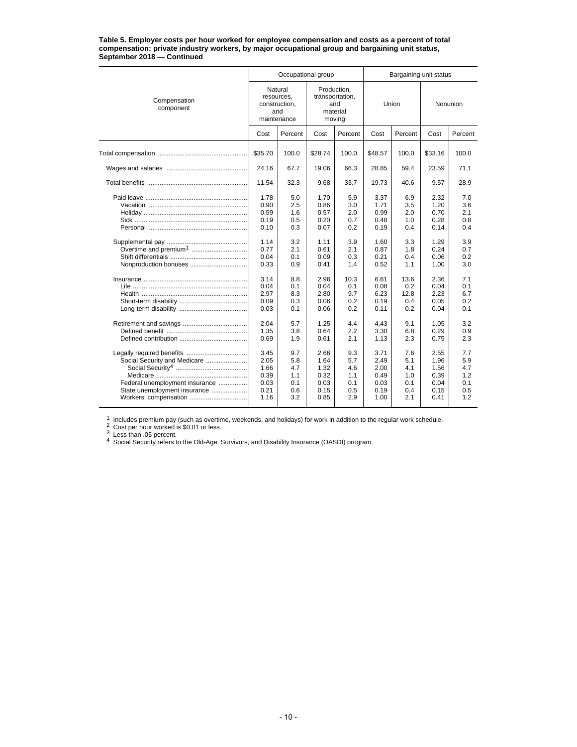#### **Table 5. Employer costs per hour worked for employee compensation and costs as a percent of total compensation: private industry workers, by major occupational group and bargaining unit status, September 2018 — Continued**

|                                                                                                                         |                                                              | Occupational group                            |                                                      |                                               | Bargaining unit status                               |                                               |                                                      |                                               |  |
|-------------------------------------------------------------------------------------------------------------------------|--------------------------------------------------------------|-----------------------------------------------|------------------------------------------------------|-----------------------------------------------|------------------------------------------------------|-----------------------------------------------|------------------------------------------------------|-----------------------------------------------|--|
| Compensation<br>component                                                                                               | Natural<br>resources,<br>construction,<br>and<br>maintenance |                                               | transportation,                                      | Production,<br>and<br>material<br>moving      |                                                      | Union                                         | Nonunion                                             |                                               |  |
|                                                                                                                         | Cost                                                         | Percent                                       | Cost                                                 | Percent                                       | Cost                                                 | Percent                                       | Cost                                                 | Percent                                       |  |
|                                                                                                                         | \$35.70                                                      | 100.0                                         | \$28.74                                              | 100.0                                         | \$48.57                                              | 100.0                                         | \$33.16                                              | 100.0                                         |  |
|                                                                                                                         | 24.16                                                        | 67.7                                          | 19.06                                                | 66.3                                          | 28.85                                                | 59.4                                          | 23.59                                                | 71.1                                          |  |
|                                                                                                                         | 11.54                                                        | 32.3                                          | 9.68                                                 | 33.7                                          | 19.73                                                | 40.6                                          | 9.57                                                 | 28.9                                          |  |
|                                                                                                                         | 1.78<br>0.90<br>0.59<br>0.19<br>0.10<br>1.14<br>0.77         | 5.0<br>2.5<br>1.6<br>0.5<br>0.3<br>3.2        | 1.70<br>0.86<br>0.57<br>0.20<br>0.07<br>1.11         | 5.9<br>3.0<br>2.0<br>0.7<br>0.2<br>3.9        | 3.37<br>1.71<br>0.99<br>0.48<br>0.19<br>1.60         | 6.9<br>3.5<br>2.0<br>1.0<br>0.4<br>3.3        | 2.32<br>1.20<br>0.70<br>0.28<br>0.14<br>1.29         | 7.0<br>3.6<br>2.1<br>0.8<br>0.4<br>3.9        |  |
|                                                                                                                         | 0.04<br>0.33                                                 | 2.1<br>0.1<br>0.9                             | 0.61<br>0.09<br>0.41                                 | 2.1<br>0.3<br>1.4                             | 0.87<br>0.21<br>0.52                                 | 1.8<br>0.4<br>1.1                             | 0.24<br>0.06<br>1.00                                 | 0.7<br>0.2<br>3.0                             |  |
|                                                                                                                         | 3.14<br>0.04<br>2.97<br>0.09<br>0.03                         | 8.8<br>0.1<br>8.3<br>0.3<br>0.1               | 2.96<br>0.04<br>2.80<br>0.06<br>0.06                 | 10.3<br>0.1<br>9.7<br>0.2<br>0.2              | 6.61<br>0.08<br>6.23<br>0.19<br>0.11                 | 13.6<br>0.2<br>12.8<br>0.4<br>0.2             | 2.36<br>0.04<br>2.23<br>0.05<br>0.04                 | 7.1<br>0.1<br>6.7<br>0.2<br>0.1               |  |
|                                                                                                                         | 2.04<br>1.35<br>0.69                                         | 5.7<br>3.8<br>1.9                             | 1.25<br>0.64<br>0.61                                 | 4.4<br>2.2<br>2.1                             | 4.43<br>3.30<br>1.13                                 | 9.1<br>6.8<br>2.3                             | 1.05<br>0.29<br>0.75                                 | 3.2<br>0.9<br>2.3                             |  |
| Social Security and Medicare<br>Federal unemployment insurance<br>State unemployment insurance<br>Workers' compensation | 3.45<br>2.05<br>1.66<br>0.39<br>0.03<br>0.21<br>1.16         | 9.7<br>5.8<br>4.7<br>1.1<br>0.1<br>0.6<br>3.2 | 2.66<br>1.64<br>1.32<br>0.32<br>0.03<br>0.15<br>0.85 | 9.3<br>5.7<br>4.6<br>1.1<br>0.1<br>0.5<br>2.9 | 3.71<br>2.49<br>2.00<br>0.49<br>0.03<br>0.19<br>1.00 | 7.6<br>5.1<br>4.1<br>1.0<br>0.1<br>0.4<br>2.1 | 2.55<br>1.96<br>1.56<br>0.39<br>0.04<br>0.15<br>0.41 | 7.7<br>5.9<br>4.7<br>1.2<br>0.1<br>0.5<br>1.2 |  |

1 Includes premium pay (such as overtime, weekends, and holidays) for work in addition to the regular work schedule.<br>
2 Cost per hour worked is \$0.01 or less.<br>
3 Less than .05 percent.<br>
4 Social Security refers to the Old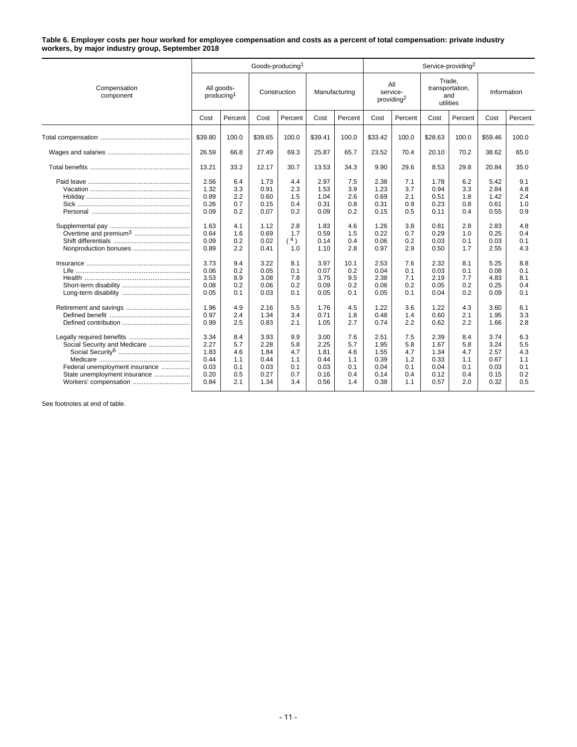#### **Table 6. Employer costs per hour worked for employee compensation and costs as a percent of total compensation: private industry workers, by major industry group, September 2018**

|                                                                                                                         |                                                      |                                                      | Goods-producing <sup>1</sup>                         |                                               |                                                      |                                               |                                                      |                                               | Service-providing <sup>2</sup>                       |                                               |                                                      |                                               |
|-------------------------------------------------------------------------------------------------------------------------|------------------------------------------------------|------------------------------------------------------|------------------------------------------------------|-----------------------------------------------|------------------------------------------------------|-----------------------------------------------|------------------------------------------------------|-----------------------------------------------|------------------------------------------------------|-----------------------------------------------|------------------------------------------------------|-----------------------------------------------|
| Compensation<br>component                                                                                               |                                                      | All goods-<br>Construction<br>producing <sup>1</sup> |                                                      | Manufacturing                                 |                                                      | All<br>service-<br>providing <sup>2</sup>     |                                                      | Trade,<br>transportation,<br>and<br>utilities |                                                      | Information                                   |                                                      |                                               |
|                                                                                                                         | Cost                                                 | Percent                                              | Cost                                                 | Percent                                       | Cost                                                 | Percent                                       | Cost                                                 | Percent                                       | Cost                                                 | Percent                                       | Cost                                                 | Percent                                       |
|                                                                                                                         | \$39.80                                              | 100.0                                                | \$39.65                                              | 100.0                                         | \$39.41                                              | 100.0                                         | \$33.42                                              | 100.0                                         | \$28.63                                              | 100.0                                         | \$59.46                                              | 100.0                                         |
|                                                                                                                         | 26.59                                                | 66.8                                                 | 27.49                                                | 69.3                                          | 25.87                                                | 65.7                                          | 23.52                                                | 70.4                                          | 20.10                                                | 70.2                                          | 38.62                                                | 65.0                                          |
|                                                                                                                         | 13.21                                                | 33.2                                                 | 12.17                                                | 30.7                                          | 13.53                                                | 34.3                                          | 9.90                                                 | 29.6                                          | 8.53                                                 | 29.8                                          | 20.84                                                | 35.0                                          |
|                                                                                                                         | 2.56<br>1.32<br>0.89<br>0.26<br>0.09                 | 6.4<br>3.3<br>2.2<br>0.7<br>0.2                      | 1.73<br>0.91<br>0.60<br>0.15<br>0.07                 | 4.4<br>2.3<br>1.5<br>0.4<br>0.2               | 2.97<br>1.53<br>1.04<br>0.31<br>0.09                 | 7.5<br>3.9<br>2.6<br>0.8<br>0.2               | 2.38<br>1.23<br>0.69<br>0.31<br>0.15                 | 7.1<br>3.7<br>2.1<br>0.9<br>0.5               | 1.78<br>0.94<br>0.51<br>0.23<br>0.11                 | 6.2<br>3.3<br>1.8<br>0.8<br>0.4               | 5.42<br>2.84<br>1.42<br>0.61<br>0.55                 | 9.1<br>4.8<br>2.4<br>1.0<br>0.9               |
| Overtime and premium <sup>3</sup><br>Nonproduction bonuses                                                              | 1.63<br>0.64<br>0.09<br>0.89                         | 4.1<br>1.6<br>0.2<br>2.2                             | 1.12<br>0.69<br>0.02<br>0.41                         | 2.8<br>1.7<br>4)<br>1.0                       | 1.83<br>0.59<br>0.14<br>1.10                         | 4.6<br>1.5<br>0.4<br>2.8                      | 1.26<br>0.22<br>0.06<br>0.97                         | 3.8<br>0.7<br>0.2<br>2.9                      | 0.81<br>0.29<br>0.03<br>0.50                         | 2.8<br>1.0<br>0.1<br>1.7                      | 2.83<br>0.25<br>0.03<br>2.55                         | 4.8<br>0.4<br>0.1<br>4.3                      |
|                                                                                                                         | 3.73<br>0.06<br>3.53<br>0.08<br>0.05                 | 9.4<br>0.2<br>8.9<br>0.2<br>0.1                      | 3.22<br>0.05<br>3.08<br>0.06<br>0.03                 | 8.1<br>0.1<br>7.8<br>0.2<br>0.1               | 3.97<br>0.07<br>3.75<br>0.09<br>0.05                 | 10.1<br>0.2<br>9.5<br>0.2<br>0.1              | 2.53<br>0.04<br>2.38<br>0.06<br>0.05                 | 7.6<br>0.1<br>7.1<br>0.2<br>0.1               | 2.32<br>0.03<br>2.19<br>0.05<br>0.04                 | 8.1<br>0.1<br>7.7<br>0.2<br>0.2               | 5.25<br>0.08<br>4.83<br>0.25<br>0.09                 | 8.8<br>0.1<br>8.1<br>0.4<br>0.1               |
|                                                                                                                         | 1.96<br>0.97<br>0.99                                 | 4.9<br>2.4<br>2.5                                    | 2.16<br>1.34<br>0.83                                 | 5.5<br>3.4<br>2.1                             | 1.76<br>0.71<br>1.05                                 | 4.5<br>1.8<br>2.7                             | 1.22<br>0.48<br>0.74                                 | 3.6<br>1.4<br>2.2                             | 1.22<br>0.60<br>0.62                                 | 4.3<br>2.1<br>2.2                             | 3.60<br>1.95<br>1.66                                 | 6.1<br>3.3<br>2.8                             |
| Social Security and Medicare<br>Federal unemployment insurance<br>State unemployment insurance<br>Workers' compensation | 3.34<br>2.27<br>1.83<br>0.44<br>0.03<br>0.20<br>0.84 | 8.4<br>5.7<br>4.6<br>1.1<br>0.1<br>0.5<br>2.1        | 3.93<br>2.28<br>1.84<br>0.44<br>0.03<br>0.27<br>1.34 | 9.9<br>5.8<br>4.7<br>1.1<br>0.1<br>0.7<br>3.4 | 3.00<br>2.25<br>1.81<br>0.44<br>0.03<br>0.16<br>0.56 | 7.6<br>5.7<br>4.6<br>1.1<br>0.1<br>0.4<br>1.4 | 2.51<br>1.95<br>1.55<br>0.39<br>0.04<br>0.14<br>0.38 | 7.5<br>5.8<br>4.7<br>1.2<br>0.1<br>0.4<br>1.1 | 2.39<br>1.67<br>1.34<br>0.33<br>0.04<br>0.12<br>0.57 | 8.4<br>5.8<br>4.7<br>1.1<br>0.1<br>0.4<br>2.0 | 3.74<br>3.24<br>2.57<br>0.67<br>0.03<br>0.15<br>0.32 | 6.3<br>5.5<br>4.3<br>1.1<br>0.1<br>0.2<br>0.5 |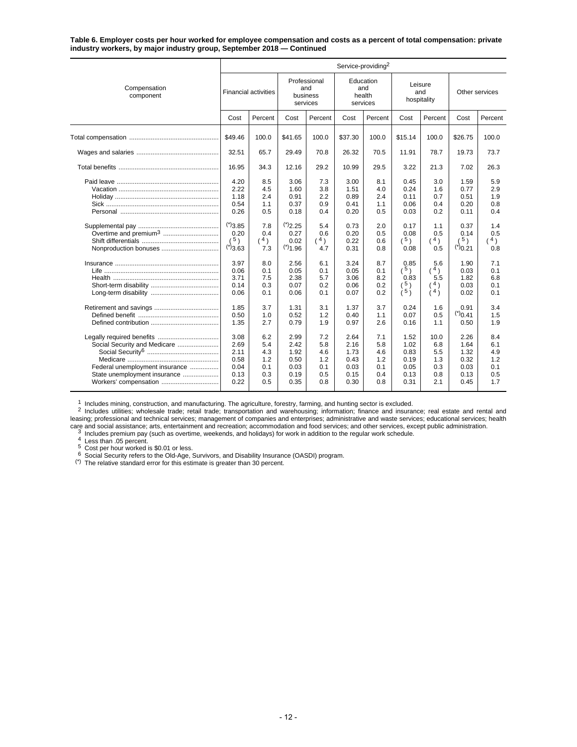#### **Table 6. Employer costs per hour worked for employee compensation and costs as a percent of total compensation: private industry workers, by major industry group, September 2018 — Continued**

|                                                                                                                         | Service-providing <sup>2</sup>                       |                                               |                                                      |                                               |                                                      |                                               |                                                      |                                                 |                                                      |                                               |
|-------------------------------------------------------------------------------------------------------------------------|------------------------------------------------------|-----------------------------------------------|------------------------------------------------------|-----------------------------------------------|------------------------------------------------------|-----------------------------------------------|------------------------------------------------------|-------------------------------------------------|------------------------------------------------------|-----------------------------------------------|
| Compensation<br>component                                                                                               | <b>Financial activities</b>                          |                                               | Professional<br>and<br>business<br>services          |                                               | Education<br>and<br>health<br>services               |                                               | Leisure<br>and<br>hospitality                        |                                                 | Other services                                       |                                               |
|                                                                                                                         | Cost                                                 | Percent                                       | Cost                                                 | Percent                                       | Cost                                                 | Percent                                       | Cost                                                 | Percent                                         | Cost                                                 | Percent                                       |
|                                                                                                                         | \$49.46                                              | 100.0                                         | \$41.65                                              | 100.0                                         | \$37.30                                              | 100.0                                         | \$15.14                                              | 100.0                                           | \$26.75                                              | 100.0                                         |
|                                                                                                                         | 32.51                                                | 65.7                                          | 29.49                                                | 70.8                                          | 26.32                                                | 70.5                                          | 11.91                                                | 78.7                                            | 19.73                                                | 73.7                                          |
|                                                                                                                         | 16.95                                                | 34.3                                          | 12.16                                                | 29.2                                          | 10.99                                                | 29.5                                          | 3.22                                                 | 21.3                                            | 7.02                                                 | 26.3                                          |
|                                                                                                                         | 4.20<br>2.22<br>1.18<br>0.54<br>0.26                 | 8.5<br>4.5<br>2.4<br>1.1<br>0.5               | 3.06<br>1.60<br>0.91<br>0.37<br>0.18                 | 7.3<br>3.8<br>2.2<br>0.9<br>0.4               | 3.00<br>1.51<br>0.89<br>0.41<br>0.20                 | 8.1<br>4.0<br>2.4<br>1.1<br>0.5               | 0.45<br>0.24<br>0.11<br>0.06<br>0.03                 | 3.0<br>1.6<br>0.7<br>0.4<br>0.2                 | 1.59<br>0.77<br>0.51<br>0.20<br>0.11                 | 5.9<br>2.9<br>1.9<br>0.8<br>0.4               |
|                                                                                                                         | $(*)$ 3.85<br>0.20<br>5 <sub>1</sub><br>$(*)_{3.63}$ | 7.8<br>0.4<br>(4)<br>7.3                      | (2.25)<br>0.27<br>0.02<br>$(*)$ <sub>1.96</sub>      | 5.4<br>0.6<br>(4)<br>4.7                      | 0.73<br>0.20<br>0.22<br>0.31                         | 2.0<br>0.5<br>0.6<br>0.8                      | 0.17<br>0.08<br>(5)<br>0.08                          | 1.1<br>0.5<br>$^4)$<br>0.5                      | 0.37<br>0.14<br>5 <sub>0</sub><br>$^{(*)}0.21$       | 1.4<br>0.5<br>4)<br>0.8                       |
|                                                                                                                         | 3.97<br>0.06<br>3.71<br>0.14<br>0.06                 | 8.0<br>0.1<br>7.5<br>0.3<br>0.1               | 2.56<br>0.05<br>2.38<br>0.07<br>0.06                 | 6.1<br>0.1<br>5.7<br>0.2<br>0.1               | 3.24<br>0.05<br>3.06<br>0.06<br>0.07                 | 8.7<br>0.1<br>8.2<br>0.2<br>0.2               | 0.85<br>(5)<br>0.83<br>$\binom{5}{5}$                | 5.6<br>$(^{4})$<br>5.5<br>4 <sub>1</sub><br>(4) | 1.90<br>0.03<br>1.82<br>0.03<br>0.02                 | 7.1<br>0.1<br>6.8<br>0.1<br>0.1               |
|                                                                                                                         | 1.85<br>0.50<br>1.35                                 | 3.7<br>1.0<br>2.7                             | 1.31<br>0.52<br>0.79                                 | 3.1<br>1.2<br>1.9                             | 1.37<br>0.40<br>0.97                                 | 3.7<br>1.1<br>2.6                             | 0.24<br>0.07<br>0.16                                 | 1.6<br>0.5<br>1.1                               | 0.91<br>(20.41)<br>0.50                              | 3.4<br>1.5<br>1.9                             |
| Social Security and Medicare<br>Federal unemployment insurance<br>State unemployment insurance<br>Workers' compensation | 3.08<br>2.69<br>2.11<br>0.58<br>0.04<br>0.13<br>0.22 | 6.2<br>5.4<br>4.3<br>1.2<br>0.1<br>0.3<br>0.5 | 2.99<br>2.42<br>1.92<br>0.50<br>0.03<br>0.19<br>0.35 | 7.2<br>5.8<br>4.6<br>1.2<br>0.1<br>0.5<br>0.8 | 2.64<br>2.16<br>1.73<br>0.43<br>0.03<br>0.15<br>0.30 | 7.1<br>5.8<br>4.6<br>1.2<br>0.1<br>0.4<br>0.8 | 1.52<br>1.02<br>0.83<br>0.19<br>0.05<br>0.13<br>0.31 | 10.0<br>6.8<br>5.5<br>1.3<br>0.3<br>0.8<br>2.1  | 2.26<br>1.64<br>1.32<br>0.32<br>0.03<br>0.13<br>0.45 | 8.4<br>6.1<br>4.9<br>1.2<br>0.1<br>0.5<br>1.7 |

<sup>1</sup> Includes mining, construction, and manufacturing. The agriculture, forestry, farming, and hunting sector is excluded.<br><sup>2</sup> Includes utilities; wholesale trade; retail trade; transportation and warehousing; information; because and social assistance; arts, entertainment and recreation; accommodation and food services; and other services, except public administration.<br>
The set and social assistance; arts, entertainment and recreation; acc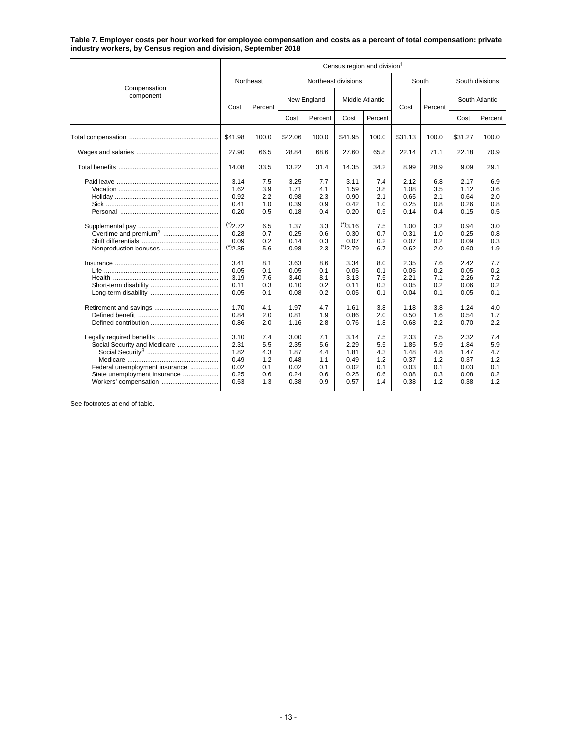**Table 7. Employer costs per hour worked for employee compensation and costs as a percent of total compensation: private industry workers, by Census region and division, September 2018**

|                                                                                                | Census region and division <sup>1</sup>                                                                                         |                                                                                                |                                                                                                              |                                                                                                |                                                                                                                      |                                                                                                |                                                                                                              |                                                                                                |                                                                                                              |                                                                                                |  |  |  |
|------------------------------------------------------------------------------------------------|---------------------------------------------------------------------------------------------------------------------------------|------------------------------------------------------------------------------------------------|--------------------------------------------------------------------------------------------------------------|------------------------------------------------------------------------------------------------|----------------------------------------------------------------------------------------------------------------------|------------------------------------------------------------------------------------------------|--------------------------------------------------------------------------------------------------------------|------------------------------------------------------------------------------------------------|--------------------------------------------------------------------------------------------------------------|------------------------------------------------------------------------------------------------|--|--|--|
|                                                                                                |                                                                                                                                 | Northeast                                                                                      |                                                                                                              | Northeast divisions                                                                            |                                                                                                                      |                                                                                                |                                                                                                              | South                                                                                          |                                                                                                              | South divisions                                                                                |  |  |  |
| Compensation<br>component                                                                      | Cost                                                                                                                            | Percent                                                                                        | New England                                                                                                  |                                                                                                | <b>Middle Atlantic</b>                                                                                               |                                                                                                | Cost                                                                                                         | Percent                                                                                        | South Atlantic                                                                                               |                                                                                                |  |  |  |
|                                                                                                |                                                                                                                                 |                                                                                                | Cost                                                                                                         | Percent                                                                                        | Cost                                                                                                                 | Percent                                                                                        |                                                                                                              |                                                                                                | Cost                                                                                                         | Percent                                                                                        |  |  |  |
|                                                                                                | \$41.98                                                                                                                         | 100.0                                                                                          | \$42.06                                                                                                      | 100.0                                                                                          | \$41.95                                                                                                              | 100.0                                                                                          | \$31.13                                                                                                      | 100.0                                                                                          | \$31.27                                                                                                      | 100.0                                                                                          |  |  |  |
|                                                                                                | 27.90                                                                                                                           | 66.5                                                                                           | 28.84                                                                                                        | 68.6                                                                                           | 27.60                                                                                                                | 65.8                                                                                           | 22.14                                                                                                        | 71.1                                                                                           | 22.18                                                                                                        | 70.9                                                                                           |  |  |  |
|                                                                                                | 14.08                                                                                                                           | 33.5                                                                                           | 13.22                                                                                                        | 31.4                                                                                           | 14.35                                                                                                                | 34.2                                                                                           | 8.99                                                                                                         | 28.9                                                                                           | 9.09                                                                                                         | 29.1                                                                                           |  |  |  |
| Nonproduction bonuses                                                                          | 3.14<br>1.62<br>0.92<br>0.41<br>0.20<br>(2.72)<br>0.28<br>0.09<br>$(*)$ <sub>2.35</sub><br>3.41<br>0.05<br>3.19<br>0.11<br>0.05 | 7.5<br>3.9<br>2.2<br>1.0<br>0.5<br>6.5<br>0.7<br>0.2<br>5.6<br>8.1<br>0.1<br>7.6<br>0.3<br>0.1 | 3.25<br>1.71<br>0.98<br>0.39<br>0.18<br>1.37<br>0.25<br>0.14<br>0.98<br>3.63<br>0.05<br>3.40<br>0.10<br>0.08 | 7.7<br>4.1<br>2.3<br>0.9<br>0.4<br>3.3<br>0.6<br>0.3<br>2.3<br>8.6<br>0.1<br>8.1<br>0.2<br>0.2 | 3.11<br>1.59<br>0.90<br>0.42<br>0.20<br>$(*)$ 3.16<br>0.30<br>0.07<br>(2.79)<br>3.34<br>0.05<br>3.13<br>0.11<br>0.05 | 7.4<br>3.8<br>2.1<br>1.0<br>0.5<br>7.5<br>0.7<br>0.2<br>6.7<br>8.0<br>0.1<br>7.5<br>0.3<br>0.1 | 2.12<br>1.08<br>0.65<br>0.25<br>0.14<br>1.00<br>0.31<br>0.07<br>0.62<br>2.35<br>0.05<br>2.21<br>0.05<br>0.04 | 6.8<br>3.5<br>2.1<br>0.8<br>0.4<br>3.2<br>1.0<br>0.2<br>2.0<br>7.6<br>0.2<br>7.1<br>0.2<br>0.1 | 2.17<br>1.12<br>0.64<br>0.26<br>0.15<br>0.94<br>0.25<br>0.09<br>0.60<br>2.42<br>0.05<br>2.26<br>0.06<br>0.05 | 6.9<br>3.6<br>2.0<br>0.8<br>0.5<br>3.0<br>0.8<br>0.3<br>1.9<br>7.7<br>0.2<br>7.2<br>0.2<br>0.1 |  |  |  |
| Social Security and Medicare<br>Federal unemployment insurance<br>State unemployment insurance | 1.70<br>0.84<br>0.86<br>3.10<br>2.31<br>1.82<br>0.49<br>0.02<br>0.25<br>0.53                                                    | 4.1<br>2.0<br>2.0<br>7.4<br>5.5<br>4.3<br>1.2<br>0.1<br>0.6<br>1.3                             | 1.97<br>0.81<br>1.16<br>3.00<br>2.35<br>1.87<br>0.48<br>0.02<br>0.24<br>0.38                                 | 4.7<br>1.9<br>2.8<br>7.1<br>5.6<br>4.4<br>1.1<br>0.1<br>0.6<br>0.9                             | 1.61<br>0.86<br>0.76<br>3.14<br>2.29<br>1.81<br>0.49<br>0.02<br>0.25<br>0.57                                         | 3.8<br>2.0<br>1.8<br>7.5<br>5.5<br>4.3<br>1.2<br>0.1<br>0.6<br>1.4                             | 1.18<br>0.50<br>0.68<br>2.33<br>1.85<br>1.48<br>0.37<br>0.03<br>0.08<br>0.38                                 | 3.8<br>1.6<br>2.2<br>7.5<br>5.9<br>4.8<br>1.2<br>0.1<br>0.3<br>1.2                             | 1.24<br>0.54<br>0.70<br>2.32<br>1.84<br>1.47<br>0.37<br>0.03<br>0.08<br>0.38                                 | 4.0<br>1.7<br>2.2<br>7.4<br>5.9<br>4.7<br>1.2<br>0.1<br>0.2<br>1.2                             |  |  |  |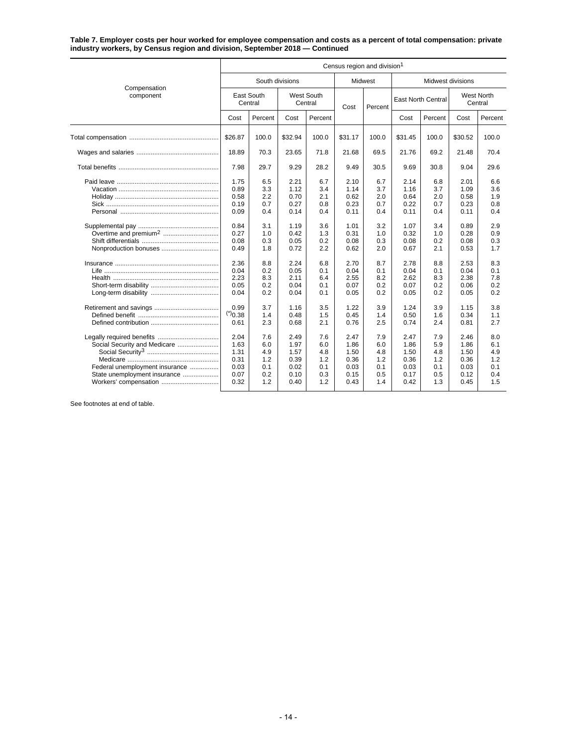#### **Table 7. Employer costs per hour worked for employee compensation and costs as a percent of total compensation: private industry workers, by Census region and division, September 2018 — Continued**

|                                                                                                                         |                                                                                                      | Census region and division <sup>1</sup>                                                 |                                                                                                      |                                                                                         |                                                                                                      |                                                                                         |                                                                                                      |                                                                                         |                                                                                                      |                                                                                         |  |
|-------------------------------------------------------------------------------------------------------------------------|------------------------------------------------------------------------------------------------------|-----------------------------------------------------------------------------------------|------------------------------------------------------------------------------------------------------|-----------------------------------------------------------------------------------------|------------------------------------------------------------------------------------------------------|-----------------------------------------------------------------------------------------|------------------------------------------------------------------------------------------------------|-----------------------------------------------------------------------------------------|------------------------------------------------------------------------------------------------------|-----------------------------------------------------------------------------------------|--|
|                                                                                                                         |                                                                                                      | South divisions                                                                         |                                                                                                      |                                                                                         |                                                                                                      | Midwest                                                                                 | Midwest divisions                                                                                    |                                                                                         |                                                                                                      |                                                                                         |  |
| Compensation<br>component                                                                                               | West South<br>East South<br>Central<br>Central                                                       |                                                                                         | Cost                                                                                                 | Percent                                                                                 | <b>East North Central</b>                                                                            |                                                                                         | West North<br>Central                                                                                |                                                                                         |                                                                                                      |                                                                                         |  |
|                                                                                                                         | Cost                                                                                                 | Percent                                                                                 | Cost                                                                                                 | Percent                                                                                 |                                                                                                      |                                                                                         | Cost                                                                                                 | Percent                                                                                 | Cost                                                                                                 | Percent                                                                                 |  |
|                                                                                                                         | \$26.87                                                                                              | 100.0                                                                                   | \$32.94                                                                                              | 100.0                                                                                   | \$31.17                                                                                              | 100.0                                                                                   | \$31.45                                                                                              | 100.0                                                                                   | \$30.52                                                                                              | 100.0                                                                                   |  |
|                                                                                                                         | 18.89                                                                                                | 70.3                                                                                    | 23.65                                                                                                | 71.8                                                                                    | 21.68                                                                                                | 69.5                                                                                    | 21.76                                                                                                | 69.2                                                                                    | 21.48                                                                                                | 70.4                                                                                    |  |
|                                                                                                                         | 7.98                                                                                                 | 29.7                                                                                    | 9.29                                                                                                 | 28.2                                                                                    | 9.49                                                                                                 | 30.5                                                                                    | 9.69                                                                                                 | 30.8                                                                                    | 9.04                                                                                                 | 29.6                                                                                    |  |
|                                                                                                                         | 1.75<br>0.89<br>0.58<br>0.19<br>0.09<br>0.84<br>0.27<br>0.08<br>0.49<br>2.36<br>0.04<br>2.23<br>0.05 | 6.5<br>3.3<br>2.2<br>0.7<br>0.4<br>3.1<br>1.0<br>0.3<br>1.8<br>8.8<br>0.2<br>8.3<br>0.2 | 2.21<br>1.12<br>0.70<br>0.27<br>0.14<br>1.19<br>0.42<br>0.05<br>0.72<br>2.24<br>0.05<br>2.11<br>0.04 | 6.7<br>3.4<br>2.1<br>0.8<br>0.4<br>3.6<br>1.3<br>0.2<br>2.2<br>6.8<br>0.1<br>6.4<br>0.1 | 2.10<br>1.14<br>0.62<br>0.23<br>0.11<br>1.01<br>0.31<br>0.08<br>0.62<br>2.70<br>0.04<br>2.55<br>0.07 | 6.7<br>3.7<br>2.0<br>0.7<br>0.4<br>3.2<br>1.0<br>0.3<br>2.0<br>8.7<br>0.1<br>8.2<br>0.2 | 2.14<br>1.16<br>0.64<br>0.22<br>0.11<br>1.07<br>0.32<br>0.08<br>0.67<br>2.78<br>0.04<br>2.62<br>0.07 | 6.8<br>3.7<br>2.0<br>0.7<br>0.4<br>3.4<br>1.0<br>0.2<br>2.1<br>8.8<br>0.1<br>8.3<br>0.2 | 2.01<br>1.09<br>0.58<br>0.23<br>0.11<br>0.89<br>0.28<br>0.08<br>0.53<br>2.53<br>0.04<br>2.38<br>0.06 | 6.6<br>3.6<br>1.9<br>0.8<br>0.4<br>2.9<br>0.9<br>0.3<br>1.7<br>8.3<br>0.1<br>7.8<br>0.2 |  |
| Social Security and Medicare<br>Federal unemployment insurance<br>State unemployment insurance<br>Workers' compensation | 0.04<br>0.99<br>$(*)_{0.38}$<br>0.61<br>2.04<br>1.63<br>1.31<br>0.31<br>0.03<br>0.07<br>0.32         | 0.2<br>3.7<br>1.4<br>2.3<br>7.6<br>6.0<br>4.9<br>1.2<br>0.1<br>0.2<br>1.2               | 0.04<br>1.16<br>0.48<br>0.68<br>2.49<br>1.97<br>1.57<br>0.39<br>0.02<br>0.10<br>0.40                 | 0.1<br>3.5<br>1.5<br>2.1<br>7.6<br>6.0<br>4.8<br>1.2<br>0.1<br>0.3<br>1.2               | 0.05<br>1.22<br>0.45<br>0.76<br>2.47<br>1.86<br>1.50<br>0.36<br>0.03<br>0.15<br>0.43                 | 0.2<br>3.9<br>1.4<br>2.5<br>7.9<br>6.0<br>4.8<br>1.2<br>0.1<br>0.5<br>1.4               | 0.05<br>1.24<br>0.50<br>0.74<br>2.47<br>1.86<br>1.50<br>0.36<br>0.03<br>0.17<br>0.42                 | 0.2<br>3.9<br>1.6<br>2.4<br>7.9<br>5.9<br>4.8<br>1.2<br>0.1<br>0.5<br>1.3               | 0.05<br>1.15<br>0.34<br>0.81<br>2.46<br>1.86<br>1.50<br>0.36<br>0.03<br>0.12<br>0.45                 | 0.2<br>3.8<br>1.1<br>2.7<br>8.0<br>6.1<br>4.9<br>1.2<br>0.1<br>0.4<br>1.5               |  |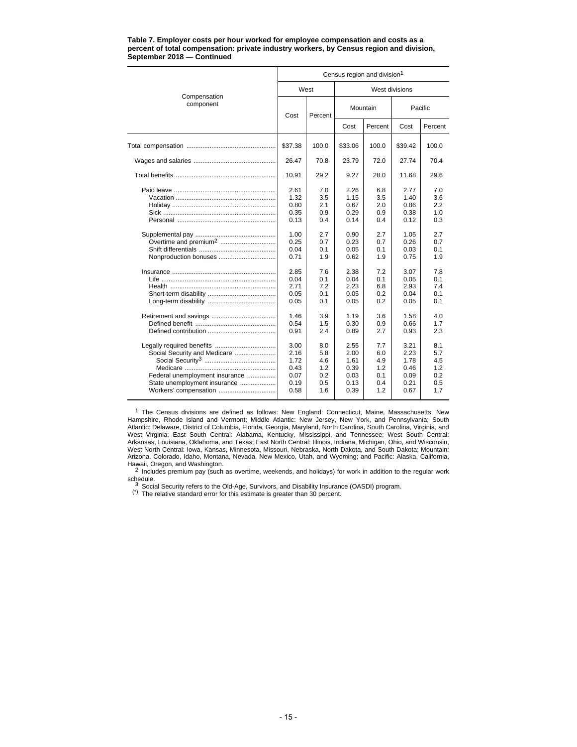|                                                                                                                         | Census region and division <sup>1</sup>              |                                               |                                                      |                                               |                                                      |                                               |  |  |  |  |
|-------------------------------------------------------------------------------------------------------------------------|------------------------------------------------------|-----------------------------------------------|------------------------------------------------------|-----------------------------------------------|------------------------------------------------------|-----------------------------------------------|--|--|--|--|
|                                                                                                                         |                                                      | West                                          |                                                      |                                               | West divisions                                       |                                               |  |  |  |  |
| Compensation<br>component                                                                                               | Cost                                                 | Percent                                       |                                                      | Mountain                                      | Pacific                                              |                                               |  |  |  |  |
|                                                                                                                         |                                                      |                                               | Cost                                                 | Percent                                       | Cost                                                 | Percent                                       |  |  |  |  |
|                                                                                                                         | \$37.38                                              | 100.0                                         | \$33.06                                              | 100.0                                         | \$39.42                                              | 100.0                                         |  |  |  |  |
|                                                                                                                         | 26.47                                                | 70.8                                          | 23.79                                                | 72.0                                          | 27.74                                                | 70.4                                          |  |  |  |  |
|                                                                                                                         | 10.91                                                | 29.2                                          | 9.27                                                 | 28.0                                          | 11.68                                                | 29.6                                          |  |  |  |  |
|                                                                                                                         | 2.61<br>1.32<br>0.80<br>0.35<br>0.13                 | 7.0<br>3.5<br>2.1<br>0.9<br>0.4               | 2.26<br>1.15<br>0.67<br>0.29<br>0.14                 | 6.8<br>3.5<br>2.0<br>0.9<br>0.4               | 2.77<br>1.40<br>0.86<br>0.38<br>0.12                 | 7.0<br>3.6<br>2.2<br>1.0<br>0.3               |  |  |  |  |
| Overtime and premium <sup>2</sup><br>Nonproduction bonuses                                                              | 1.00<br>0.25<br>0.04<br>0.71                         | 2.7<br>0.7<br>0.1<br>1.9                      | 0.90<br>0.23<br>0.05<br>0.62                         | 2.7<br>0.7<br>0.1<br>1.9                      | 1.05<br>0.26<br>0.03<br>0.75                         | 2.7<br>0.7<br>0.1<br>1.9                      |  |  |  |  |
|                                                                                                                         | 2.85<br>0.04<br>2.71<br>0.05<br>0.05                 | 7.6<br>0.1<br>7.2<br>0.1<br>0.1               | 2.38<br>0.04<br>2.23<br>0.05<br>0.05                 | 7.2<br>0.1<br>6.8<br>0.2<br>0.2               | 3.07<br>0.05<br>2.93<br>0.04<br>0.05                 | 7.8<br>0.1<br>7.4<br>0.1<br>0.1               |  |  |  |  |
|                                                                                                                         | 1.46<br>0.54<br>0.91                                 | 3.9<br>1.5<br>2.4                             | 1.19<br>0.30<br>0.89                                 | 3.6<br>0.9<br>2.7                             | 1.58<br>0.66<br>0.93                                 | 4.0<br>1.7<br>2.3                             |  |  |  |  |
| Social Security and Medicare<br>Federal unemployment insurance<br>State unemployment insurance<br>Workers' compensation | 3.00<br>2.16<br>1.72<br>0.43<br>0.07<br>0.19<br>0.58 | 8.0<br>5.8<br>4.6<br>1.2<br>0.2<br>0.5<br>1.6 | 2.55<br>2.00<br>1.61<br>0.39<br>0.03<br>0.13<br>0.39 | 7.7<br>6.0<br>4.9<br>1.2<br>0.1<br>0.4<br>1.2 | 3.21<br>2.23<br>1.78<br>0.46<br>0.09<br>0.21<br>0.67 | 8.1<br>5.7<br>4.5<br>1.2<br>0.2<br>0.5<br>1.7 |  |  |  |  |

#### **Table 7. Employer costs per hour worked for employee compensation and costs as a percent of total compensation: private industry workers, by Census region and division, September 2018 — Continued**

<sup>1</sup> The Census divisions are defined as follows: New England: Connecticut, Maine, Massachusetts, New<br>Hampshire, Rhode Island and Vermont; Middle Atlantic: New Jersey, New York, and Pennsylvania; South Atlantic: Delaware, District of Columbia, Florida, Georgia, Maryland, North Carolina, South Carolina, Virginia, and<br>West Virginia; East South Central: Alabama, Kentucky, Mississippi, and Tennessee; West South C West North Central: Iowa, Kansas, Minnesota, Missouri, Nebraska, North Dakota, and South Dakota; Mountain: Arizona, Colorado, Idaho, Montana, Nevada, New Mexico, Utah, and Wyoming; and Pacific: Alaska, California,

Hawaii, Oregon, and Washington.<br>
2 Includes premium pay (such as overtime, weekends, and holidays) for work in addition to the regular work<br>
schedule.

schedule.<br>3 Social Security refers to the Old-Age, Survivors, and Disability Insurance (OASDI) program.<br>(\*) The relative standard error for this estimate is greater than 30 percent.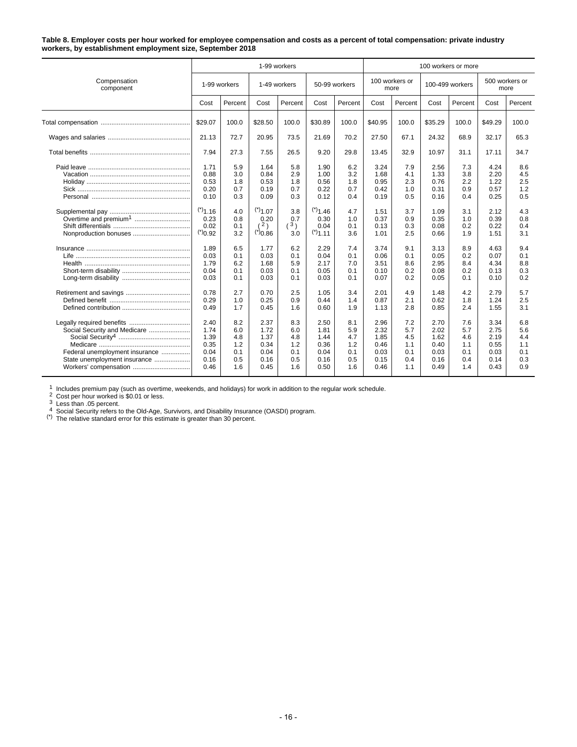#### **Table 8. Employer costs per hour worked for employee compensation and costs as a percent of total compensation: private industry workers, by establishment employment size, September 2018**

|                                                                                                                         |                                                                                                                               |                                                                                         |                                                                                                                | 1-99 workers                                                                            |                                                                                                                  |                                                                                         |                                                                                                      |                                                                                         |                                                                                                      | 100 workers or more                                                                     |                                                                                                      |                                                                                         |  |  |  |  |
|-------------------------------------------------------------------------------------------------------------------------|-------------------------------------------------------------------------------------------------------------------------------|-----------------------------------------------------------------------------------------|----------------------------------------------------------------------------------------------------------------|-----------------------------------------------------------------------------------------|------------------------------------------------------------------------------------------------------------------|-----------------------------------------------------------------------------------------|------------------------------------------------------------------------------------------------------|-----------------------------------------------------------------------------------------|------------------------------------------------------------------------------------------------------|-----------------------------------------------------------------------------------------|------------------------------------------------------------------------------------------------------|-----------------------------------------------------------------------------------------|--|--|--|--|
| Compensation<br>component                                                                                               |                                                                                                                               | 1-99 workers                                                                            |                                                                                                                | 1-49 workers                                                                            |                                                                                                                  | 50-99 workers                                                                           |                                                                                                      | 100 workers or<br>more                                                                  |                                                                                                      | 100-499 workers                                                                         |                                                                                                      | 500 workers or<br>more                                                                  |  |  |  |  |
|                                                                                                                         | Cost                                                                                                                          | Percent                                                                                 | Cost                                                                                                           | Percent                                                                                 | Cost                                                                                                             | Percent                                                                                 | Cost                                                                                                 | Percent                                                                                 | Cost                                                                                                 | Percent                                                                                 | Cost                                                                                                 | Percent                                                                                 |  |  |  |  |
|                                                                                                                         | \$29.07                                                                                                                       | 100.0                                                                                   | \$28.50                                                                                                        | 100.0                                                                                   | \$30.89                                                                                                          | 100.0                                                                                   | \$40.95                                                                                              | 100.0                                                                                   | \$35.29                                                                                              | 100.0                                                                                   | \$49.29                                                                                              | 100.0                                                                                   |  |  |  |  |
|                                                                                                                         | 21.13                                                                                                                         | 72.7                                                                                    | 20.95                                                                                                          | 73.5                                                                                    | 21.69                                                                                                            | 70.2                                                                                    | 27.50                                                                                                | 67.1                                                                                    | 24.32                                                                                                | 68.9                                                                                    | 32.17                                                                                                | 65.3                                                                                    |  |  |  |  |
|                                                                                                                         | 7.94                                                                                                                          | 27.3                                                                                    | 7.55                                                                                                           | 26.5                                                                                    | 9.20                                                                                                             | 29.8                                                                                    | 13.45                                                                                                | 32.9                                                                                    | 10.97                                                                                                | 31.1                                                                                    | 17.11                                                                                                | 34.7                                                                                    |  |  |  |  |
| Overtime and premium <sup>1</sup>                                                                                       | 1.71<br>0.88<br>0.53<br>0.20<br>0.10<br>$(*)$ <sub>1.16</sub><br>0.23<br>0.02<br>$(*)_{0.92}$<br>1.89<br>0.03<br>1.79<br>0.04 | 5.9<br>3.0<br>1.8<br>0.7<br>0.3<br>4.0<br>0.8<br>0.1<br>3.2<br>6.5<br>0.1<br>6.2<br>0.1 | 1.64<br>0.84<br>0.53<br>0.19<br>0.09<br>$(*)$ 1.07<br>0.20<br>(2)<br>(50.0(7))<br>1.77<br>0.03<br>1.68<br>0.03 | 5.8<br>2.9<br>1.8<br>0.7<br>0.3<br>3.8<br>0.7<br>(3)<br>3.0<br>6.2<br>0.1<br>5.9<br>0.1 | 1.90<br>1.00<br>0.56<br>0.22<br>0.12<br>$(*)$ 1.46<br>0.30<br>0.04<br>$(*)$ 1.11<br>2.29<br>0.04<br>2.17<br>0.05 | 6.2<br>3.2<br>1.8<br>0.7<br>0.4<br>4.7<br>1.0<br>0.1<br>3.6<br>7.4<br>0.1<br>7.0<br>0.1 | 3.24<br>1.68<br>0.95<br>0.42<br>0.19<br>1.51<br>0.37<br>0.13<br>1.01<br>3.74<br>0.06<br>3.51<br>0.10 | 7.9<br>4.1<br>2.3<br>1.0<br>0.5<br>3.7<br>0.9<br>0.3<br>2.5<br>9.1<br>0.1<br>8.6<br>0.2 | 2.56<br>1.33<br>0.76<br>0.31<br>0.16<br>1.09<br>0.35<br>0.08<br>0.66<br>3.13<br>0.05<br>2.95<br>0.08 | 7.3<br>3.8<br>2.2<br>0.9<br>0.4<br>3.1<br>1.0<br>0.2<br>1.9<br>8.9<br>0.2<br>8.4<br>0.2 | 4.24<br>2.20<br>1.22<br>0.57<br>0.25<br>2.12<br>0.39<br>0.22<br>1.51<br>4.63<br>0.07<br>4.34<br>0.13 | 8.6<br>4.5<br>2.5<br>1.2<br>0.5<br>4.3<br>0.8<br>0.4<br>3.1<br>9.4<br>0.1<br>8.8<br>0.3 |  |  |  |  |
| Social Security and Medicare<br>Federal unemployment insurance<br>State unemployment insurance<br>Workers' compensation | 0.03<br>0.78<br>0.29<br>0.49<br>2.40<br>1.74<br>1.39<br>0.35<br>0.04<br>0.16<br>0.46                                          | 0.1<br>2.7<br>1.0<br>1.7<br>8.2<br>6.0<br>4.8<br>1.2<br>0.1<br>0.5<br>1.6               | 0.03<br>0.70<br>0.25<br>0.45<br>2.37<br>1.72<br>1.37<br>0.34<br>0.04<br>0.16<br>0.45                           | 0.1<br>2.5<br>0.9<br>1.6<br>8.3<br>6.0<br>4.8<br>1.2<br>0.1<br>0.5<br>1.6               | 0.03<br>1.05<br>0.44<br>0.60<br>2.50<br>1.81<br>1.44<br>0.36<br>0.04<br>0.16<br>0.50                             | 0.1<br>3.4<br>1.4<br>1.9<br>8.1<br>5.9<br>4.7<br>1.2<br>0.1<br>0.5<br>1.6               | 0.07<br>2.01<br>0.87<br>1.13<br>2.96<br>2.32<br>1.85<br>0.46<br>0.03<br>0.15<br>0.46                 | 0.2<br>4.9<br>2.1<br>2.8<br>7.2<br>5.7<br>4.5<br>1.1<br>0.1<br>0.4<br>1.1               | 0.05<br>1.48<br>0.62<br>0.85<br>2.70<br>2.02<br>1.62<br>0.40<br>0.03<br>0.16<br>0.49                 | 0.1<br>4.2<br>1.8<br>2.4<br>7.6<br>5.7<br>4.6<br>1.1<br>0.1<br>0.4<br>1.4               | 0.10<br>2.79<br>1.24<br>1.55<br>3.34<br>2.75<br>2.19<br>0.55<br>0.03<br>0.14<br>0.43                 | 0.2<br>5.7<br>2.5<br>3.1<br>6.8<br>5.6<br>4.4<br>1.1<br>0.1<br>0.3<br>0.9               |  |  |  |  |

1 Includes premium pay (such as overtime, weekends, and holidays) for work in addition to the regular work schedule.<br>
2 Cost per hour worked is \$0.01 or less.<br>
3 Less than .05 percent.<br>
4 Social Security refers to the Old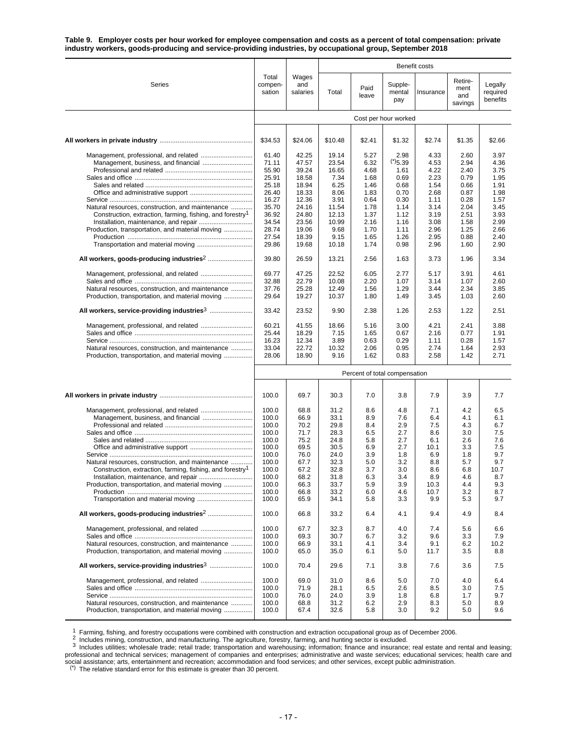**Table 9. Employer costs per hour worked for employee compensation and costs as a percent of total compensation: private industry workers, goods-producing and service-providing industries, by occupational group, September 2018**

|                                                                                                     |                               |                          | Benefit costs  |               |                          |              |                                   |                                 |  |
|-----------------------------------------------------------------------------------------------------|-------------------------------|--------------------------|----------------|---------------|--------------------------|--------------|-----------------------------------|---------------------------------|--|
| Series                                                                                              | Total<br>compen-<br>sation    | Wages<br>and<br>salaries | Total          | Paid<br>leave | Supple-<br>mental<br>pay | Insurance    | Retire-<br>ment<br>and<br>savings | Legally<br>required<br>benefits |  |
|                                                                                                     |                               |                          |                |               | Cost per hour worked     |              |                                   |                                 |  |
|                                                                                                     |                               |                          |                |               |                          |              |                                   |                                 |  |
|                                                                                                     | \$34.53                       | \$24.06                  | \$10.48        | \$2.41        | \$1.32                   | \$2.74       | \$1.35                            | \$2.66                          |  |
|                                                                                                     | 61.40                         | 42.25                    | 19.14          | 5.27          | 2.98                     | 4.33         | 2.60                              | 3.97                            |  |
|                                                                                                     | 71.11<br>55.90                | 47.57<br>39.24           | 23.54<br>16.65 | 6.32<br>4.68  | (5.39)<br>1.61           | 4.53<br>4.22 | 2.94<br>2.40                      | 4.36<br>3.75                    |  |
|                                                                                                     | 25.91                         | 18.58                    | 7.34           | 1.68          | 0.69                     | 2.23         | 0.79                              | 1.95                            |  |
|                                                                                                     | 25.18                         | 18.94                    | 6.25           | 1.46          | 0.68                     | 1.54         | 0.66                              | 1.91                            |  |
|                                                                                                     | 26.40                         | 18.33                    | 8.06           | 1.83          | 0.70                     | 2.68         | 0.87                              | 1.98                            |  |
|                                                                                                     | 16.27                         | 12.36                    | 3.91           | 0.64          | 0.30                     | 1.11         | 0.28                              | 1.57                            |  |
| Natural resources, construction, and maintenance                                                    | 35.70                         | 24.16                    | 11.54          | 1.78          | 1.14                     | 3.14         | 2.04                              | 3.45                            |  |
| Construction, extraction, farming, fishing, and forestry <sup>1</sup>                               | 36.92                         | 24.80                    | 12.13          | 1.37          | 1.12                     | 3.19         | 2.51                              | 3.93                            |  |
|                                                                                                     | 34.54                         | 23.56                    | 10.99          | 2.16          | 1.16                     | 3.08         | 1.58                              | 2.99                            |  |
| Production, transportation, and material moving                                                     | 28.74<br>27.54                | 19.06<br>18.39           | 9.68<br>9.15   | 1.70<br>1.65  | 1.11<br>1.26             | 2.96<br>2.95 | 1.25<br>0.88                      | 2.66<br>2.40                    |  |
|                                                                                                     | 29.86                         | 19.68                    | 10.18          | 1.74          | 0.98                     | 2.96         | 1.60                              | 2.90                            |  |
|                                                                                                     | 39.80                         | 26.59                    | 13.21          | 2.56          | 1.63                     | 3.73         | 1.96                              | 3.34                            |  |
|                                                                                                     |                               |                          |                |               |                          |              |                                   |                                 |  |
|                                                                                                     | 69.77<br>32.88                | 47.25                    | 22.52          | 6.05          | 2.77                     | 5.17         | 3.91                              | 4.61                            |  |
| Natural resources, construction, and maintenance                                                    | 37.76                         | 22.79<br>25.28           | 10.08<br>12.49 | 2.20<br>1.56  | 1.07<br>1.29             | 3.14<br>3.44 | 1.07<br>2.34                      | 2.60<br>3.85                    |  |
| Production, transportation, and material moving                                                     | 29.64                         | 19.27                    | 10.37          | 1.80          | 1.49                     | 3.45         | 1.03                              | 2.60                            |  |
|                                                                                                     | 33.42                         | 23.52                    | 9.90           | 2.38          | 1.26                     | 2.53         | 1.22                              | 2.51                            |  |
|                                                                                                     |                               |                          |                |               |                          |              |                                   |                                 |  |
| Management, professional, and related                                                               | 60.21<br>25.44                | 41.55<br>18.29           | 18.66<br>7.15  | 5.16<br>1.65  | 3.00                     | 4.21<br>2.16 | 2.41<br>0.77                      | 3.88<br>1.91                    |  |
|                                                                                                     | 16.23                         | 12.34                    | 3.89           | 0.63          | 0.67<br>0.29             | 1.11         | 0.28                              | 1.57                            |  |
| Natural resources, construction, and maintenance                                                    | 33.04                         | 22.72                    | 10.32          | 2.06          | 0.95                     | 2.74         | 1.64                              | 2.93                            |  |
| Production, transportation, and material moving                                                     | 28.06                         | 18.90                    | 9.16           | 1.62          | 0.83                     | 2.58         | 1.42                              | 2.71                            |  |
|                                                                                                     | Percent of total compensation |                          |                |               |                          |              |                                   |                                 |  |
|                                                                                                     |                               |                          |                |               |                          |              |                                   |                                 |  |
|                                                                                                     | 100.0                         | 69.7                     | 30.3           | 7.0           | 3.8                      | 7.9          | 3.9                               | 7.7                             |  |
|                                                                                                     | 100.0                         | 68.8                     | 31.2           | 8.6           | 4.8                      | 7.1          | 4.2                               | 6.5                             |  |
|                                                                                                     | 100.0                         | 66.9                     | 33.1           | 8.9           | 7.6                      | 6.4          | 4.1                               | 6.1                             |  |
|                                                                                                     | 100.0                         | 70.2                     | 29.8           | 8.4           | 2.9                      | 7.5          | 4.3                               | 6.7                             |  |
|                                                                                                     | 100.0<br>100.0                | 71.7<br>75.2             | 28.3<br>24.8   | 6.5<br>5.8    | 2.7<br>2.7               | 8.6<br>6.1   | 3.0<br>2.6                        | 7.5<br>7.6                      |  |
|                                                                                                     | 100.0                         | 69.5                     | 30.5           | 6.9           | 2.7                      | 10.1         | 3.3                               | 7.5                             |  |
|                                                                                                     | 100.0                         | 76.0                     | 24.0           | 3.9           | 1.8                      | 6.9          | 1.8                               | 9.7                             |  |
| Natural resources, construction, and maintenance                                                    | 100.0                         | 67.7                     | 32.3           | 5.0           | 3.2                      | 8.8          | 5.7                               | 9.7                             |  |
| Construction, extraction, farming, fishing, and forestry <sup>1</sup>                               | 100.0                         | 67.2                     | 32.8           | 3.7           | 3.0                      | 8.6          | 6.8                               | 10.7                            |  |
|                                                                                                     | 100.0                         | 68.2                     | 31.8           | 6.3           | 3.4                      | 8.9          | 4.6                               | 8.7                             |  |
| Production, transportation, and material moving                                                     | 100.0                         | 66.3                     | 33.7           | 5.9           | 3.9                      | 10.3         | 4.4                               | 9.3                             |  |
|                                                                                                     | 100.0<br>100.0                | 66.8<br>65.9             | 33.2<br>34.1   | 6.0<br>5.8    | 4.6<br>3.3               | 10.7<br>9.9  | 3.2<br>5.3                        | 8.7<br>9.7                      |  |
|                                                                                                     |                               |                          |                |               |                          |              |                                   |                                 |  |
|                                                                                                     | 100.0                         | 66.8                     | 33.2           | 6.4           | 4.1                      | 9.4          | 4.9                               | 8.4                             |  |
|                                                                                                     | 100.0<br>100.0                | 67.7                     | 32.3           | 8.7           | 4.0                      | 7.4          | 5.6                               | 6.6<br>7.9                      |  |
| Natural resources, construction, and maintenance                                                    | 100.0                         | 69.3<br>66.9             | 30.7<br>33.1   | 6.7<br>4.1    | 3.2<br>3.4               | 9.6<br>9.1   | 3.3<br>6.2                        | 10.2                            |  |
| Production, transportation, and material moving                                                     | 100.0                         | 65.0                     | 35.0           | 6.1           | 5.0                      | 11.7         | 3.5                               | 8.8                             |  |
|                                                                                                     | 100.0                         | 70.4                     | 29.6           | 7.1           | 3.8                      | 7.6          | 3.6                               | 7.5                             |  |
|                                                                                                     | 100.0                         | 69.0                     | 31.0           | 8.6           | 5.0                      | 7.0          | 4.0                               | 6.4                             |  |
|                                                                                                     | 100.0                         | 71.9                     | 28.1           | 6.5           | 2.6                      | 8.5          | 3.0                               | 7.5                             |  |
|                                                                                                     | 100.0                         | 76.0                     | 24.0           | 3.9           | 1.8                      | 6.8          | 1.7                               | 9.7                             |  |
| Natural resources, construction, and maintenance<br>Production, transportation, and material moving | 100.0<br>100.0                | 68.8<br>67.4             | 31.2<br>32.6   | 6.2<br>5.8    | 2.9<br>3.0               | 8.3<br>9.2   | 5.0<br>5.0                        | 8.9<br>9.6                      |  |
|                                                                                                     |                               |                          |                |               |                          |              |                                   |                                 |  |

<sup>1</sup> Farming, fishing, and forestry occupations were combined with construction and extraction occupational group as of December 2006.<br><sup>2</sup> Includes mining, construction, and manufacturing. The agriculture, forestry, farming professional and technical services; management of companies and enterprises; administrative and waste services; educational services; health care and social assistance; arts, entertainment and recreation; accommodation and food services; and other services, except public administration.<br><sup>(\*)</sup> The relative standard error for this estimate is greater than 30 percent.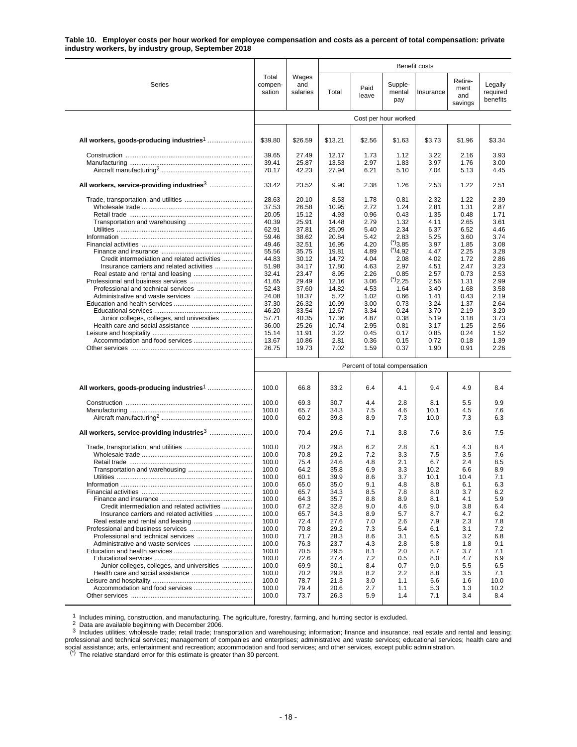#### **Table 10. Employer costs per hour worked for employee compensation and costs as a percent of total compensation: private industry workers, by industry group, September 2018**

|                                                        |                            |                          | <b>Benefit costs</b> |                               |                          |              |                                   |                                 |
|--------------------------------------------------------|----------------------------|--------------------------|----------------------|-------------------------------|--------------------------|--------------|-----------------------------------|---------------------------------|
| Series                                                 | Total<br>compen-<br>sation | Wages<br>and<br>salaries | Total                | Paid<br>leave                 | Supple-<br>mental<br>pay | Insurance    | Retire-<br>ment<br>and<br>savings | Legally<br>required<br>benefits |
|                                                        |                            |                          |                      |                               | Cost per hour worked     |              |                                   |                                 |
|                                                        | \$39.80                    | \$26.59                  | \$13.21              | \$2.56                        | \$1.63                   | \$3.73       | \$1.96                            | \$3.34                          |
|                                                        |                            |                          |                      |                               |                          |              |                                   |                                 |
|                                                        | 39.65                      | 27.49                    | 12.17                | 1.73                          | 1.12                     | 3.22         | 2.16                              | 3.93                            |
|                                                        | 39.41<br>70.17             | 25.87<br>42.23           | 13.53<br>27.94       | 2.97<br>6.21                  | 1.83<br>5.10             | 3.97<br>7.04 | 1.76<br>5.13                      | 3.00<br>4.45                    |
| All workers, service-providing industries <sup>3</sup> | 33.42                      | 23.52                    | 9.90                 | 2.38                          | 1.26                     | 2.53         | 1.22                              | 2.51                            |
|                                                        | 28.63                      | 20.10                    | 8.53                 | 1.78                          | 0.81                     | 2.32         | 1.22                              | 2.39                            |
|                                                        | 37.53                      | 26.58                    | 10.95                | 2.72                          | 1.24                     | 2.81         | 1.31                              | 2.87                            |
|                                                        | 20.05                      | 15.12                    | 4.93                 | 0.96                          | 0.43                     | 1.35         | 0.48                              | 1.71                            |
|                                                        | 40.39                      | 25.91                    | 14.48                | 2.79                          | 1.32                     | 4.11         | 2.65                              | 3.61                            |
|                                                        | 62.91                      | 37.81                    | 25.09                | 5.40                          | 2.34                     | 6.37         | 6.52                              | 4.46                            |
|                                                        | 59.46<br>49.46             | 38.62<br>32.51           | 20.84<br>16.95       | 5.42<br>4.20                  | 2.83<br>(5)3.85          | 5.25<br>3.97 | 3.60<br>1.85                      | 3.74<br>3.08                    |
|                                                        | 55.56                      | 35.75                    | 19.81                | 4.89                          | $(*)$ 4.92               | 4.47         | 2.25                              | 3.28                            |
| Credit intermediation and related activities           | 44.83                      | 30.12                    | 14.72                | 4.04                          | 2.08                     | 4.02         | 1.72                              | 2.86                            |
|                                                        | 51.98                      | 34.17                    | 17.80                | 4.63                          | 2.97                     | 4.51         | 2.47                              | 3.23                            |
|                                                        | 32.41                      | 23.47                    | 8.95                 | 2.26                          | 0.85                     | 2.57         | 0.73                              | 2.53                            |
|                                                        | 41.65                      | 29.49                    | 12.16                | 3.06                          | (2.25)                   | 2.56         | 1.31                              | 2.99                            |
|                                                        | 52.43<br>24.08             | 37.60                    | 14.82                | 4.53                          | 1.64                     | 3.40         | 1.68                              | 3.58                            |
|                                                        | 37.30                      | 18.37<br>26.32           | 5.72<br>10.99        | 1.02<br>3.00                  | 0.66<br>0.73             | 1.41<br>3.24 | 0.43<br>1.37                      | 2.19<br>2.64                    |
|                                                        | 46.20                      | 33.54                    | 12.67                | 3.34                          | 0.24                     | 3.70         | 2.19                              | 3.20                            |
| Junior colleges, colleges, and universities            | 57.71                      | 40.35                    | 17.36                | 4.87                          | 0.38                     | 5.19         | 3.18                              | 3.73                            |
|                                                        | 36.00                      | 25.26                    | 10.74                | 2.95                          | 0.81                     | 3.17         | 1.25                              | 2.56                            |
|                                                        | 15.14                      | 11.91                    | 3.22                 | 0.45                          | 0.17                     | 0.85         | 0.24                              | 1.52                            |
|                                                        | 13.67                      | 10.86                    | 2.81                 | 0.36                          | 0.15                     | 0.72         | 0.18                              | 1.39                            |
|                                                        | 26.75                      | 19.73                    | 7.02                 | 1.59                          | 0.37                     | 1.90         | 0.91                              | 2.26                            |
|                                                        |                            |                          |                      | Percent of total compensation |                          |              |                                   |                                 |
|                                                        | 100.0                      | 66.8                     | 33.2                 | 6.4                           | 4.1                      | 9.4          | 4.9                               | 8.4                             |
|                                                        | 100.0                      | 69.3                     | 30.7                 | 4.4                           | 2.8                      | 8.1          | 5.5                               | 9.9                             |
|                                                        | 100.0                      | 65.7                     | 34.3                 | 7.5                           | 4.6                      | 10.1         | 4.5                               | 7.6                             |
|                                                        | 100.0                      | 60.2                     | 39.8                 | 8.9                           | 7.3                      | 10.0         | 7.3                               | 6.3                             |
| All workers, service-providing industries <sup>3</sup> | 100.0                      | 70.4                     | 29.6                 | 7.1                           | 3.8                      | 7.6          | 3.6                               | 7.5                             |
|                                                        | 100.0                      | 70.2                     | 29.8                 | 6.2                           | 2.8                      | 8.1          | 4.3                               | 8.4                             |
|                                                        | 100.0                      | 70.8                     | 29.2                 | 7.2                           | 3.3                      | 7.5          | 3.5                               | 7.6                             |
|                                                        | 100.0                      | 75.4                     | 24.6                 | 4.8                           | 2.1                      | 6.7          | 2.4                               | 8.5                             |
|                                                        | 100.0                      | 64.2                     | 35.8                 | 6.9                           | 3.3                      | 10.2         | 6.6                               | 8.9                             |
|                                                        | 100.0<br>100.0             | 60.1                     | 39.9<br>35.0         | 8.6<br>9.1                    | 3.7<br>4.8               | 10.1<br>8.8  | 10.4<br>6.1                       | 7.1<br>6.3                      |
|                                                        | 100.0                      | 65.0<br>65.7             | 34.3                 | 8.5                           | 7.8                      | 8.0          | 3.7                               | 6.2                             |
|                                                        | 100.0                      | 64.3                     | 35.7                 | 8.8                           | 8.9                      | 8.1          | 4.1                               | 5.9                             |
| Credit intermediation and related activities           | 100.0                      | 67.2                     | 32.8                 | 9.0                           | 4.6                      | 9.0          | 3.8                               | 6.4                             |
|                                                        | 100.0                      | 65.7                     | 34.3                 | 8.9                           | 5.7                      | 8.7          | 4.7                               | 6.2                             |
|                                                        | 100.0                      | 72.4                     | 27.6                 | 7.0                           | 2.6                      | 7.9          | 2.3                               | 7.8                             |
|                                                        | 100.0<br>100.0             | 70.8<br>71.7             | 29.2<br>28.3         | 7.3<br>8.6                    | 5.4<br>3.1               | 6.1          | 3.1<br>3.2                        | 7.2                             |
|                                                        | 100.0                      | 76.3                     | 23.7                 | 4.3                           | 2.8                      | 6.5<br>5.8   | 1.8                               | 6.8<br>9.1                      |
|                                                        | 100.0                      | 70.5                     | 29.5                 | 8.1                           | 2.0                      | 8.7          | 3.7                               | 7.1                             |
|                                                        | 100.0                      | 72.6                     | 27.4                 | 7.2                           | 0.5                      | 8.0          | 4.7                               | 6.9                             |
| Junior colleges, colleges, and universities            | 100.0                      | 69.9                     | 30.1                 | 8.4                           | 0.7                      | 9.0          | 5.5                               | 6.5                             |
|                                                        | 100.0                      | 70.2                     | 29.8                 | 8.2                           | 2.2                      | 8.8          | 3.5                               | 7.1                             |
|                                                        | 100.0                      | 78.7                     | 21.3                 | 3.0                           | 1.1                      | 5.6          | 1.6                               | 10.0                            |
|                                                        | 100.0<br>100.0             | 79.4<br>73.7             | 20.6<br>26.3         | 2.7<br>5.9                    | 1.1<br>1.4               | 5.3          | 1.3<br>3.4                        | 10.2                            |
|                                                        |                            |                          |                      |                               |                          | 7.1          |                                   | 8.4                             |

1 Includes mining, construction, and manufacturing. The agriculture, forestry, farming, and hunting sector is excluded.<br><sup>2</sup> Data are available beginning with December 2006.<br><sup>2</sup> Includes utilities; wholesale trade; retail t professional and technical services; management of companies and enterprises; administrative and waste services; educational services; health care and social assistance; arts, entertainment and recreation; accommodation and food services; and other services, except public administration.

(\*) The relative standard error for this estimate is greater than 30 percent.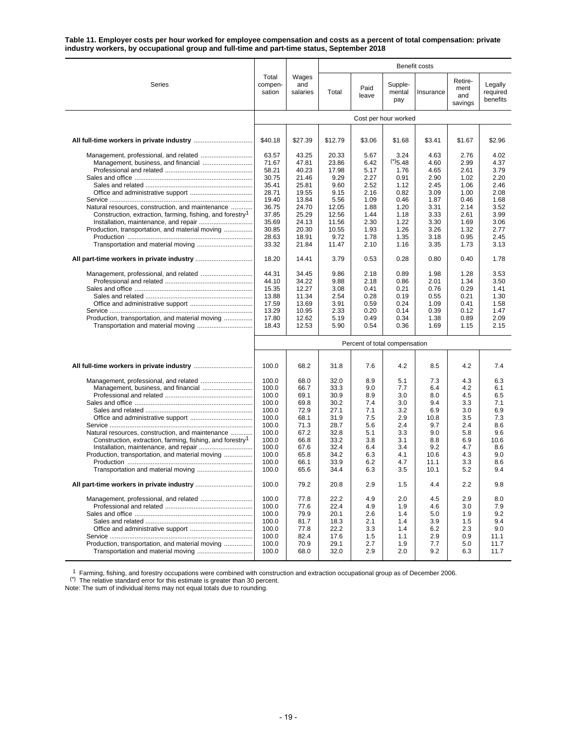**Table 11. Employer costs per hour worked for employee compensation and costs as a percent of total compensation: private industry workers, by occupational group and full-time and part-time status, September 2018**

|                                                                       |                            |                               |              |               |                          | Benefit costs |                                   |                                 |  |  |
|-----------------------------------------------------------------------|----------------------------|-------------------------------|--------------|---------------|--------------------------|---------------|-----------------------------------|---------------------------------|--|--|
| Series                                                                | Total<br>compen-<br>sation | Wages<br>and<br>salaries      | Total        | Paid<br>leave | Supple-<br>mental<br>pay | Insurance     | Retire-<br>ment<br>and<br>savings | Legally<br>required<br>benefits |  |  |
|                                                                       |                            |                               |              |               | Cost per hour worked     |               |                                   |                                 |  |  |
|                                                                       |                            |                               |              |               |                          |               |                                   |                                 |  |  |
|                                                                       | \$40.18                    | \$27.39                       | \$12.79      | \$3.06        | \$1.68                   | \$3.41        | \$1.67                            | \$2.96                          |  |  |
|                                                                       | 63.57                      | 43.25                         | 20.33        | 5.67          | 3.24                     | 4.63          | 2.76                              | 4.02                            |  |  |
|                                                                       | 71.67                      | 47.81                         | 23.86        | 6.42          | (5.48)                   | 4.60          | 2.99                              | 4.37                            |  |  |
|                                                                       | 58.21                      | 40.23                         | 17.98        | 5.17          | 1.76                     | 4.65          | 2.61                              | 3.79                            |  |  |
|                                                                       | 30.75                      | 21.46                         | 9.29         | 2.27          | 0.91                     | 2.90          | 1.02                              | 2.20                            |  |  |
|                                                                       | 35.41                      | 25.81                         | 9.60         | 2.52          | 1.12                     | 2.45          | 1.06                              | 2.46                            |  |  |
|                                                                       | 28.71                      | 19.55                         | 9.15         | 2.16          | 0.82                     | 3.09          | 1.00                              | 2.08                            |  |  |
|                                                                       | 19.40                      | 13.84                         | 5.56         | 1.09          | 0.46                     | 1.87          | 0.46                              | 1.68                            |  |  |
| Natural resources, construction, and maintenance                      | 36.75                      | 24.70                         | 12.05        | 1.88          | 1.20                     | 3.31          | 2.14                              | 3.52                            |  |  |
| Construction, extraction, farming, fishing, and forestry <sup>1</sup> | 37.85                      | 25.29                         | 12.56        | 1.44          | 1.18                     | 3.33          | 2.61                              | 3.99                            |  |  |
|                                                                       | 35.69                      | 24.13                         | 11.56        | 2.30          | 1.22                     | 3.30          | 1.69                              | 3.06                            |  |  |
| Production, transportation, and material moving                       | 30.85                      | 20.30                         | 10.55        | 1.93          | 1.26                     | 3.26          | 1.32                              | 2.77                            |  |  |
|                                                                       | 28.63                      | 18.91                         | 9.72         | 1.78          | 1.35                     | 3.18          | 0.95                              | 2.45                            |  |  |
|                                                                       | 33.32                      | 21.84                         | 11.47        | 2.10          | 1.16                     | 3.35          | 1.73                              | 3.13                            |  |  |
|                                                                       | 18.20                      | 14.41                         | 3.79         | 0.53          | 0.28                     | 0.80          | 0.40                              | 1.78                            |  |  |
|                                                                       | 44.31                      | 34.45                         | 9.86         | 2.18          | 0.89                     | 1.98          | 1.28                              | 3.53                            |  |  |
|                                                                       | 44.10                      | 34.22                         | 9.88         | 2.18          | 0.86                     | 2.01          | 1.34                              | 3.50                            |  |  |
|                                                                       | 15.35                      | 12.27                         | 3.08         | 0.41          | 0.21                     | 0.76          | 0.29                              | 1.41                            |  |  |
|                                                                       | 13.88                      | 11.34                         | 2.54         | 0.28          | 0.19                     | 0.55          | 0.21                              | 1.30                            |  |  |
|                                                                       | 17.59                      | 13.69                         | 3.91         | 0.59          | 0.24                     | 1.09          | 0.41                              | 1.58                            |  |  |
|                                                                       | 13.29                      | 10.95                         | 2.33         | 0.20          | 0.14                     | 0.39          | 0.12                              | 1.47                            |  |  |
| Production, transportation, and material moving                       | 17.80                      | 12.62                         | 5.19         | 0.49          | 0.34                     | 1.38          | 0.89                              | 2.09                            |  |  |
|                                                                       | 18.43                      | 12.53                         | 5.90         | 0.54          | 0.36                     | 1.69          | 1.15                              | 2.15                            |  |  |
|                                                                       |                            | Percent of total compensation |              |               |                          |               |                                   |                                 |  |  |
|                                                                       | 100.0                      | 68.2                          | 31.8         | 7.6           | 4.2                      | 8.5           | 4.2                               | 7.4                             |  |  |
|                                                                       |                            |                               |              |               |                          |               |                                   |                                 |  |  |
|                                                                       | 100.0                      | 68.0                          | 32.0         | 8.9           | 5.1                      | 7.3           | 4.3                               | 6.3                             |  |  |
|                                                                       | 100.0                      | 66.7                          | 33.3         | 9.0           | 7.7                      | 6.4           | 4.2                               | 6.1                             |  |  |
|                                                                       | 100.0                      | 69.1                          | 30.9         | 8.9           | 3.0                      | 8.0           | 4.5                               | 6.5                             |  |  |
|                                                                       | 100.0                      | 69.8                          | 30.2         | 7.4           | 3.0                      | 9.4           | 3.3                               | 7.1                             |  |  |
|                                                                       | 100.0                      | 72.9                          | 27.1         | 7.1<br>7.5    | 3.2                      | 6.9           | 3.0                               | 6.9                             |  |  |
|                                                                       | 100.0                      | 68.1                          | 31.9         |               | 2.9                      | 10.8          | 3.5<br>2.4                        | 7.3                             |  |  |
| Natural resources, construction, and maintenance                      | 100.0<br>100.0             | 71.3<br>67.2                  | 28.7<br>32.8 | 5.6<br>5.1    | 2.4<br>3.3               | 9.7<br>9.0    | 5.8                               | 8.6<br>9.6                      |  |  |
| Construction, extraction, farming, fishing, and forestry <sup>1</sup> | 100.0                      | 66.8                          | 33.2         | 3.8           | 3.1                      | 8.8           | 6.9                               | 10.6                            |  |  |
|                                                                       | 100.0                      | 67.6                          | 32.4         | 6.4           | 3.4                      | 9.2           | 4.7                               | 8.6                             |  |  |
| Production, transportation, and material moving                       | 100.0                      | 65.8                          | 34.2         | 6.3           | 4.1                      | 10.6          | 4.3                               | 9.0                             |  |  |
|                                                                       | 100.0                      | 66.1                          | 33.9         | 6.2           | 4.7                      | 11.1          | 3.3                               | 8.6                             |  |  |
|                                                                       | 100.0                      | 65.6                          | 34.4         | 6.3           | 3.5                      | 10.1          | 5.2                               | 9.4                             |  |  |
|                                                                       | 100.0                      | 79.2                          | 20.8         | 2.9           | 1.5                      | 4.4           | 2.2                               | 9.8                             |  |  |
|                                                                       | 100.0                      | 77.8                          | 22.2         | 4.9           | 2.0                      | 4.5           | 2.9                               | 8.0                             |  |  |
|                                                                       | 100.0                      | 77.6                          | 22.4         | 4.9           | 1.9                      | 4.6           | 3.0                               | 7.9                             |  |  |
|                                                                       | 100.0                      | 79.9                          | 20.1         | 2.6           | 1.4                      | 5.0           | 1.9                               | 9.2                             |  |  |
|                                                                       | 100.0                      | 81.7                          | 18.3         | 2.1           | 1.4                      | 3.9           | 1.5                               | 9.4                             |  |  |
|                                                                       | 100.0                      | 77.8                          | 22.2         | 3.3           | 1.4                      | 6.2           | 2.3                               | 9.0                             |  |  |
|                                                                       | 100.0                      | 82.4                          | 17.6         | 1.5           | 1.1                      | 2.9           | 0.9                               | 11.1                            |  |  |
| Production, transportation, and material moving                       | 100.0                      | 70.9                          | 29.1         | 2.7           | 1.9                      | 7.7           | 5.0                               | 11.7                            |  |  |
|                                                                       | 100.0                      | 68.0                          | 32.0         | 2.9           | 2.0                      | 9.2           | 6.3                               | 11.7                            |  |  |

<sup>1</sup> Farming, fishing, and forestry occupations were combined with construction and extraction occupational group as of December 2006.<br>
<sup>(\*)</sup> The relative standard error for this estimate is greater than 30 percent.<br>
Note: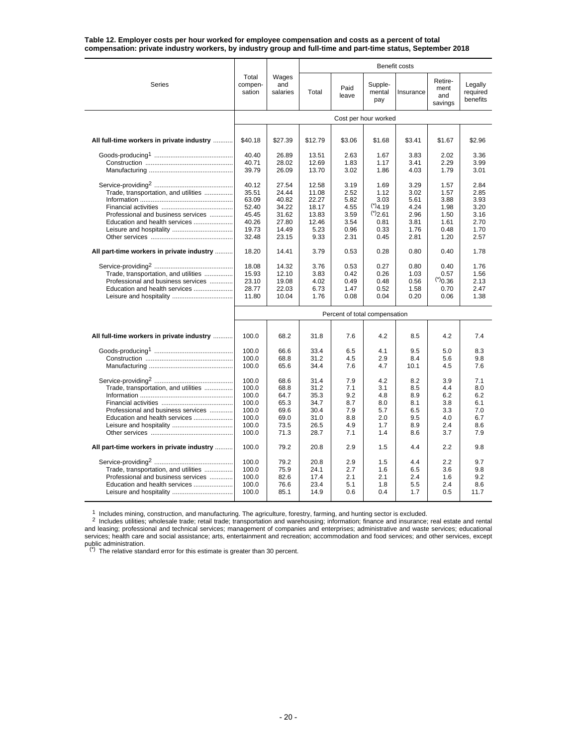| <b>Series</b>                                                                                               | Total<br>compen-<br>sation                                           | Wages<br>and<br>salaries                                             | Total                                                              | Paid<br>leave                                                | Supple-<br>mental<br>pay                                                            | Insurance                                                    | Retire-<br>ment<br>and<br>savings                            | Legally<br>required<br>benefits                              |
|-------------------------------------------------------------------------------------------------------------|----------------------------------------------------------------------|----------------------------------------------------------------------|--------------------------------------------------------------------|--------------------------------------------------------------|-------------------------------------------------------------------------------------|--------------------------------------------------------------|--------------------------------------------------------------|--------------------------------------------------------------|
|                                                                                                             |                                                                      |                                                                      |                                                                    |                                                              | Cost per hour worked                                                                |                                                              |                                                              |                                                              |
|                                                                                                             |                                                                      |                                                                      |                                                                    |                                                              |                                                                                     |                                                              |                                                              |                                                              |
| All full-time workers in private industry                                                                   | \$40.18                                                              | \$27.39                                                              | \$12.79                                                            | \$3.06                                                       | \$1.68                                                                              | \$3.41                                                       | \$1.67                                                       | \$2.96                                                       |
|                                                                                                             | 40.40<br>40.71<br>39.79                                              | 26.89<br>28.02<br>26.09                                              | 13.51<br>12.69<br>13.70                                            | 2.63<br>1.83<br>3.02                                         | 1.67<br>1.17<br>1.86                                                                | 3.83<br>3.41<br>4.03                                         | 2.02<br>2.29<br>1.79                                         | 3.36<br>3.99<br>3.01                                         |
| Trade, transportation, and utilities<br>Professional and business services<br>Education and health services | 40.12<br>35.51<br>63.09<br>52.40<br>45.45<br>40.26<br>19.73<br>32.48 | 27.54<br>24.44<br>40.82<br>34.22<br>31.62<br>27.80<br>14.49<br>23.15 | 12.58<br>11.08<br>22.27<br>18.17<br>13.83<br>12.46<br>5.23<br>9.33 | 3.19<br>2.52<br>5.82<br>4.55<br>3.59<br>3.54<br>0.96<br>2.31 | 1.69<br>1.12<br>3.03<br>$(*)$ 4.19<br>$(*)$ <sub>2.61</sub><br>0.81<br>0.33<br>0.45 | 3.29<br>3.02<br>5.61<br>4.24<br>2.96<br>3.81<br>1.76<br>2.81 | 1.57<br>1.57<br>3.88<br>1.98<br>1.50<br>1.61<br>0.48<br>1.20 | 2.84<br>2.85<br>3.93<br>3.20<br>3.16<br>2.70<br>1.70<br>2.57 |
| All part-time workers in private industry                                                                   | 18.20                                                                | 14.41                                                                | 3.79                                                               | 0.53                                                         | 0.28                                                                                | 0.80                                                         | 0.40                                                         | 1.78                                                         |
| Trade, transportation, and utilities<br>Professional and business services<br>Education and health services | 18.08<br>15.93<br>23.10<br>28.77<br>11.80                            | 14.32<br>12.10<br>19.08<br>22.03<br>10.04                            | 3.76<br>3.83<br>4.02<br>6.73<br>1.76                               | 0.53<br>0.42<br>0.49<br>1.47<br>0.08                         | 0.27<br>0.26<br>0.48<br>0.52<br>0.04                                                | 0.80<br>1.03<br>0.56<br>1.58<br>0.20                         | 0.40<br>0.57<br>(5)0.36<br>0.70<br>0.06                      | 1.76<br>1.56<br>2.13<br>2.47<br>1.38                         |
|                                                                                                             |                                                                      |                                                                      |                                                                    | Percent of total compensation                                |                                                                                     |                                                              |                                                              |                                                              |
|                                                                                                             |                                                                      |                                                                      |                                                                    |                                                              |                                                                                     |                                                              |                                                              |                                                              |
| All full-time workers in private industry                                                                   | 100.0                                                                | 68.2                                                                 | 31.8                                                               | 7.6                                                          | 4.2                                                                                 | 8.5                                                          | 4.2                                                          | 7.4                                                          |
|                                                                                                             | 100.0<br>100.0<br>100.0                                              | 66.6<br>68.8<br>65.6                                                 | 33.4<br>31.2<br>34.4                                               | 6.5<br>4.5<br>7.6                                            | 4.1<br>2.9<br>4.7                                                                   | 9.5<br>8.4<br>10.1                                           | 5.0<br>5.6<br>4.5                                            | 8.3<br>9.8<br>7.6                                            |
| Trade, transportation, and utilities<br>Professional and business services<br>Education and health services | 100.0<br>100.0<br>100.0<br>100.0<br>100.0<br>100.0<br>100.0<br>100.0 | 68.6<br>68.8<br>64.7<br>65.3<br>69.6<br>69.0<br>73.5<br>71.3         | 31.4<br>31.2<br>35.3<br>34.7<br>30.4<br>31.0<br>26.5<br>28.7       | 7.9<br>7.1<br>9.2<br>8.7<br>7.9<br>8.8<br>4.9<br>7.1         | 4.2<br>3.1<br>4.8<br>8.0<br>5.7<br>2.0<br>1.7<br>1.4                                | 8.2<br>8.5<br>8.9<br>8.1<br>6.5<br>9.5<br>8.9<br>8.6         | 3.9<br>4.4<br>6.2<br>3.8<br>3.3<br>4.0<br>2.4<br>3.7         | 7.1<br>8.0<br>6.2<br>6.1<br>7.0<br>6.7<br>8.6<br>7.9         |
| All part-time workers in private industry                                                                   | 100.0                                                                | 79.2                                                                 | 20.8                                                               | 2.9                                                          | 1.5                                                                                 | 4.4                                                          | 2.2                                                          | 9.8                                                          |
| Trade, transportation, and utilities<br>Professional and business services<br>Education and health services | 100.0<br>100.0<br>100.0<br>100.0<br>100.0                            | 79.2<br>75.9<br>82.6<br>76.6<br>85.1                                 | 20.8<br>24.1<br>17.4<br>23.4<br>14.9                               | 2.9<br>2.7<br>2.1<br>5.1<br>0.6                              | 1.5<br>1.6<br>2.1<br>1.8<br>0.4                                                     | 4.4<br>6.5<br>2.4<br>5.5<br>1.7                              | 2.2<br>3.6<br>1.6<br>2.4<br>0.5                              | 9.7<br>9.8<br>9.2<br>8.6<br>11.7                             |

#### **Table 12. Employer costs per hour worked for employee compensation and costs as a percent of total compensation: private industry workers, by industry group and full-time and part-time status, September 2018**

1 Includes mining, construction, and manufacturing. The agriculture, forestry, farming, and hunting sector is excluded.<br>
<sup>2</sup> Includes utilities; wholesale trade; retail trade; transportation and warehousing; information;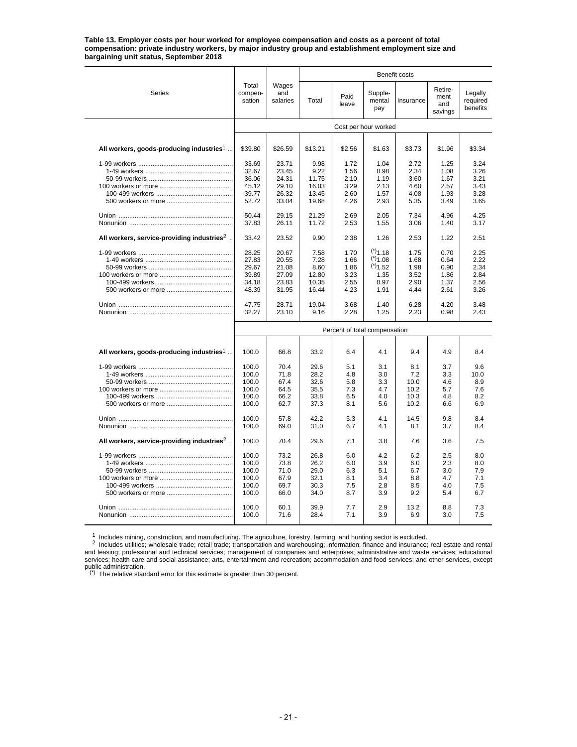**Table 13. Employer costs per hour worked for employee compensation and costs as a percent of total compensation: private industry workers, by major industry group and establishment employment size and bargaining unit status, September 2018**

|                                                          |                            |                          |               |                               |                          | <b>Benefit costs</b> |                                   |                                 |
|----------------------------------------------------------|----------------------------|--------------------------|---------------|-------------------------------|--------------------------|----------------------|-----------------------------------|---------------------------------|
| Series                                                   | Total<br>compen-<br>sation | Wages<br>and<br>salaries | Total         | Paid<br>leave                 | Supple-<br>mental<br>pay | Insurance            | Retire-<br>ment<br>and<br>savings | Legally<br>required<br>benefits |
|                                                          |                            |                          |               |                               | Cost per hour worked     |                      |                                   |                                 |
|                                                          |                            |                          |               |                               |                          |                      |                                   |                                 |
| All workers, goods-producing industries <sup>1</sup>     | \$39.80                    | \$26.59                  | \$13.21       | \$2.56                        | \$1.63                   | \$3.73               | \$1.96                            | \$3.34                          |
|                                                          | 33.69                      | 23.71                    | 9.98          | 1.72                          | 1.04                     | 2.72                 | 1.25                              | 3.24                            |
|                                                          | 32.67                      | 23.45                    | 9.22          | 1.56                          | 0.98                     | 2.34                 | 1.08                              | 3.26                            |
|                                                          | 36.06                      | 24.31                    | 11.75         | 2.10                          | 1.19                     | 3.60                 | 1.67                              | 3.21                            |
|                                                          | 45.12                      | 29.10                    | 16.03         | 3.29                          | 2.13                     | 4.60                 | 2.57                              | 3.43                            |
|                                                          | 39.77                      | 26.32                    | 13.45         | 2.60                          | 1.57                     | 4.08                 | 1.93                              | 3.28                            |
|                                                          | 52.72                      | 33.04                    | 19.68         | 4.26                          | 2.93                     | 5.35                 | 3.49                              | 3.65                            |
|                                                          |                            |                          |               |                               |                          |                      |                                   |                                 |
|                                                          | 50.44                      | 29.15                    | 21.29         | 2.69                          | 2.05                     | 7.34                 | 4.96                              | 4.25                            |
|                                                          | 37.83                      | 26.11                    | 11.72         | 2.53                          | 1.55                     | 3.06                 | 1.40                              | 3.17                            |
| All workers, service-providing industries <sup>2</sup> . | 33.42                      | 23.52                    | 9.90          | 2.38                          | 1.26                     | 2.53                 | 1.22                              | 2.51                            |
|                                                          | 28.25                      | 20.67                    | 7.58          | 1.70                          | $(*)$ 1.18               | 1.75                 | 0.70                              | 2.25                            |
|                                                          | 27.83                      | 20.55                    | 7.28          | 1.66                          | $(*)$ 1.08               | 1.68                 | 0.64                              | 2.22                            |
|                                                          | 29.67                      | 21.08                    | 8.60          | 1.86                          | $(*)$ <sub>1.52</sub>    | 1.98                 | 0.90                              | 2.34                            |
|                                                          | 39.89                      | 27.09                    | 12.80         | 3.23                          | 1.35                     | 3.52                 | 1.86                              | 2.84                            |
|                                                          | 34.18                      | 23.83                    | 10.35         | 2.55                          | 0.97                     | 2.90                 | 1.37                              | 2.56                            |
|                                                          | 48.39                      |                          | 16.44         | 4.23                          | 1.91                     | 4.44                 | 2.61                              | 3.26                            |
|                                                          |                            | 31.95                    |               |                               |                          |                      |                                   |                                 |
|                                                          | 47.75<br>32.27             | 28.71<br>23.10           | 19.04<br>9.16 | 3.68<br>2.28                  | 1.40<br>1.25             | 6.28<br>2.23         | 4.20<br>0.98                      | 3.48<br>2.43                    |
|                                                          |                            |                          |               | Percent of total compensation |                          |                      |                                   |                                 |
|                                                          |                            |                          |               |                               |                          |                      |                                   |                                 |
| All workers, goods-producing industries <sup>1</sup>     | 100.0                      | 66.8                     | 33.2          | 6.4                           | 4.1                      | 9.4                  | 4.9                               | 8.4                             |
|                                                          | 100.0                      | 70.4                     | 29.6          | 5.1                           | 3.1                      | 8.1                  | 3.7                               | 9.6                             |
|                                                          | 100.0                      | 71.8                     | 28.2          | 4.8                           | 3.0                      | 7.2                  | 3.3                               | 10.0                            |
|                                                          | 100.0                      | 67.4                     | 32.6          | 5.8                           | 3.3                      | 10.0                 | 4.6                               | 8.9                             |
|                                                          | 100.0                      | 64.5                     | 35.5          | 7.3                           | 4.7                      | 10.2                 | 5.7                               | 7.6                             |
|                                                          | 100.0                      | 66.2                     | 33.8          | 6.5                           | 4.0                      | 10.3                 | 4.8                               | 8.2                             |
|                                                          | 100.0                      | 62.7                     | 37.3          | 8.1                           | 5.6                      | 10.2                 | 6.6                               | 6.9                             |
|                                                          | 100.0                      | 57.8                     | 42.2          | 5.3                           | 4.1                      | 14.5                 | 9.8                               | 8.4                             |
|                                                          | 100.0                      | 69.0                     | 31.0          | 6.7                           | 4.1                      | 8.1                  | 3.7                               | 8.4                             |
| All workers, service-providing industries <sup>2</sup> . | 100.0                      | 70.4                     | 29.6          | 7.1                           | 3.8                      | 7.6                  | 3.6                               | 7.5                             |
|                                                          | 100.0                      | 73.2                     | 26.8          | 6.0                           | 4.2                      | 6.2                  | 2.5                               | 8.0                             |
|                                                          | 100.0                      | 73.8                     | 26.2          | 6.0                           | 3.9                      | 6.0                  | 2.3                               | 8.0                             |
|                                                          | 100.0                      | 71.0                     | 29.0          | 6.3                           | 5.1                      | 6.7                  | 3.0                               | 7.9                             |
|                                                          | 100.0                      | 67.9                     | 32.1          | 8.1                           | 3.4                      | 8.8                  | 4.7                               | 7.1                             |
|                                                          | 100.0                      | 69.7                     | 30.3          | 7.5                           | 2.8                      | 8.5                  | 4.0                               | 7.5                             |
|                                                          | 100.0                      | 66.0                     | 34.0          | 8.7                           | 3.9                      | 9.2                  | 5.4                               | 6.7                             |
|                                                          |                            |                          |               |                               |                          |                      |                                   |                                 |
|                                                          | 100.0                      | 60.1<br>71.6             | 39.9<br>28.4  | 7.7<br>7.1                    | 2.9<br>3.9               | 13.2<br>6.9          | 8.8                               | 7.3<br>7.5                      |
|                                                          | 100.0                      |                          |               |                               |                          |                      | 3.0                               |                                 |

 $^1$  Includes mining, construction, and manufacturing. The agriculture, forestry, farming, and hunting sector is excluded.<br>
<sup>2</sup> Includes utilities; wholesale trade; retail trade; transportation and warehousing; informatio and leasing; professional and technical services; management of companies and enterprises; administrative and waste services; educational services; health care and social assistance; arts, entertainment and recreation; accommodation and food services; and other services, except

public administration. (\*) The relative standard error for this estimate is greater than 30 percent.